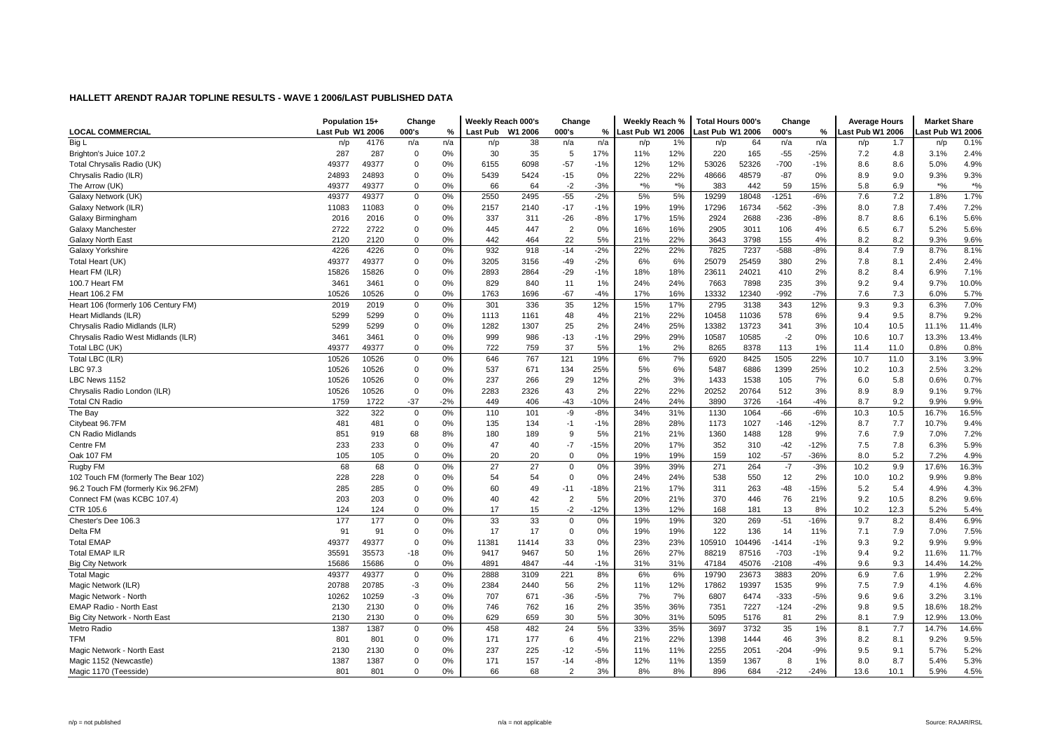|                                      | Population 15+   |       | Change      |       | Weekly Reach 000's |         | Change         |        | Weekly Reach %   |       | <b>Total Hours 000's</b> |        | Change  |        | <b>Average Hours</b> |      | <b>Market Share</b> |               |
|--------------------------------------|------------------|-------|-------------|-------|--------------------|---------|----------------|--------|------------------|-------|--------------------------|--------|---------|--------|----------------------|------|---------------------|---------------|
| <b>LOCAL COMMERCIAL</b>              | Last Pub W1 2006 |       | 000's       | %     | Last Pub           | W1 2006 | 000's          | %      | Last Pub W1 2006 |       | Last Pub W1 2006         |        | 000's   | %      | Last Pub W1 2006     |      | ast Pub W1 2006.    |               |
| Big L                                | n/p              | 4176  | n/a         | n/a   | n/p                | 38      | n/a            | n/a    | n/p              | 1%    | n/p                      | 64     | n/a     | n/a    | n/p                  | 1.7  | n/p                 | 0.1%          |
| Brighton's Juice 107.2               | 287              | 287   | 0           | 0%    | 30                 | 35      | 5              | 17%    | 11%              | 12%   | 220                      | 165    | $-55$   | $-25%$ | 7.2                  | 4.8  | 3.1%                | 2.4%          |
| Total Chrysalis Radio (UK)           | 49377            | 49377 | 0           | 0%    | 6155               | 6098    | $-57$          | $-1%$  | 12%              | 12%   | 53026                    | 52326  | $-700$  | $-1%$  | 8.6                  | 8.6  | 5.0%                | 4.9%          |
| Chrysalis Radio (ILR)                | 24893            | 24893 | 0           | 0%    | 5439               | 5424    | $-15$          | 0%     | 22%              | 22%   | 48666                    | 48579  | $-87$   | 0%     | 8.9                  | 9.0  | 9.3%                | 9.3%          |
| The Arrow (UK)                       | 49377            | 49377 | 0           | 0%    | 66                 | 64      | $-2$           | $-3%$  | $*9/6$           | $*$ % | 383                      | 442    | 59      | 15%    | 5.8                  | 6.9  | $*9/6$              | $\frac{1}{2}$ |
| Galaxy Network (UK)                  | 49377            | 49377 | 0           | 0%    | 2550               | 2495    | $-55$          | $-2%$  | 5%               | 5%    | 19299                    | 18048  | $-1251$ | $-6%$  | 7.6                  | 7.2  | 1.8%                | 1.7%          |
| Galaxy Network (ILR)                 | 11083            | 11083 | 0           | 0%    | 2157               | 2140    | $-17$          | $-1%$  | 19%              | 19%   | 17296                    | 16734  | $-562$  | $-3%$  | 8.0                  | 7.8  | 7.4%                | 7.2%          |
| Galaxy Birmingham                    | 2016             | 2016  | $\mathbf 0$ | 0%    | 337                | 311     | $-26$          | $-8%$  | 17%              | 15%   | 2924                     | 2688   | $-236$  | $-8%$  | 8.7                  | 8.6  | 6.1%                | 5.6%          |
| Galaxy Manchester                    | 2722             | 2722  | $\mathbf 0$ | 0%    | 445                | 447     | $\overline{2}$ | 0%     | 16%              | 16%   | 2905                     | 3011   | 106     | 4%     | 6.5                  | 6.7  | 5.2%                | 5.6%          |
| Galaxy North East                    | 2120             | 2120  | 0           | 0%    | 442                | 464     | 22             | 5%     | 21%              | 22%   | 3643                     | 3798   | 155     | 4%     | 8.2                  | 8.2  | 9.3%                | 9.6%          |
| Galaxy Yorkshire                     | 4226             | 4226  | 0           | 0%    | 932                | 918     | $-14$          | $-2%$  | 22%              | 22%   | 7825                     | 7237   | $-588$  | $-8%$  | 8.4                  | 7.9  | 8.7%                | 8.1%          |
| Total Heart (UK)                     | 49377            | 49377 | $\mathbf 0$ | 0%    | 3205               | 3156    | $-49$          | $-2%$  | 6%               | 6%    | 25079                    | 25459  | 380     | 2%     | 7.8                  | 8.1  | 2.4%                | 2.4%          |
| Heart FM (ILR)                       | 15826            | 15826 | 0           | 0%    | 2893               | 2864    | $-29$          | $-1%$  | 18%              | 18%   | 23611                    | 24021  | 410     | 2%     | 8.2                  | 8.4  | 6.9%                | 7.1%          |
| 100.7 Heart FM                       | 3461             | 3461  | $\mathbf 0$ | 0%    | 829                | 840     | 11             | 1%     | 24%              | 24%   | 7663                     | 7898   | 235     | 3%     | 9.2                  | 9.4  | 9.7%                | 10.0%         |
| Heart 106.2 FM                       | 10526            | 10526 | $\mathbf 0$ | 0%    | 1763               | 1696    | $-67$          | $-4%$  | 17%              | 16%   | 13332                    | 12340  | $-992$  | $-7%$  | 7.6                  | 7.3  | 6.0%                | 5.7%          |
| Heart 106 (formerly 106 Century FM)  | 2019             | 2019  | 0           | 0%    | 301                | 336     | 35             | 12%    | 15%              | 17%   | 2795                     | 3138   | 343     | 12%    | 9.3                  | 9.3  | 6.3%                | 7.0%          |
| Heart Midlands (ILR)                 | 5299             | 5299  | 0           | 0%    | 1113               | 1161    | 48             | 4%     | 21%              | 22%   | 10458                    | 11036  | 578     | 6%     | 9.4                  | 9.5  | 8.7%                | 9.2%          |
| Chrysalis Radio Midlands (ILR)       | 5299             | 5299  | 0           | 0%    | 1282               | 1307    | 25             | 2%     | 24%              | 25%   | 13382                    | 13723  | 341     | 3%     | 10.4                 | 10.5 | 11.1%               | 11.4%         |
| Chrysalis Radio West Midlands (ILR)  | 3461             | 3461  | $\mathbf 0$ | 0%    | 999                | 986     | $-13$          | $-1%$  | 29%              | 29%   | 10587                    | 10585  | $-2$    | 0%     | 10.6                 | 10.7 | 13.3%               | 13.4%         |
| Total LBC (UK)                       | 49377            | 49377 | 0           | 0%    | 722                | 759     | 37             | 5%     | 1%               | 2%    | 8265                     | 8378   | 113     | 1%     | 11.4                 | 11.0 | 0.8%                | 0.8%          |
| Total LBC (ILR)                      | 10526            | 10526 | 0           | 0%    | 646                | 767     | 121            | 19%    | 6%               | 7%    | 6920                     | 8425   | 1505    | 22%    | 10.7                 | 11.0 | 3.1%                | 3.9%          |
| LBC 97.3                             | 10526            | 10526 | $\mathbf 0$ | 0%    | 537                | 671     | 134            | 25%    | 5%               | 6%    | 5487                     | 6886   | 1399    | 25%    | 10.2                 | 10.3 | 2.5%                | 3.2%          |
| LBC News 1152                        | 10526            | 10526 | $\mathbf 0$ | 0%    | 237                | 266     | 29             | 12%    | 2%               | 3%    | 1433                     | 1538   | 105     | 7%     | 6.0                  | 5.8  | 0.6%                | 0.7%          |
| Chrysalis Radio London (ILR)         | 10526            | 10526 | $\mathbf 0$ | 0%    | 2283               | 2326    | 43             | 2%     | 22%              | 22%   | 20252                    | 20764  | 512     | 3%     | 8.9                  | 8.9  | 9.1%                | 9.7%          |
| <b>Total CN Radio</b>                | 1759             | 1722  | $-37$       | $-2%$ | 449                | 406     | $-43$          | $-10%$ | 24%              | 24%   | 3890                     | 3726   | $-164$  | -4%    | 8.7                  | 9.2  | 9.9%                | 9.9%          |
| The Bay                              | 322              | 322   | 0           | 0%    | 110                | 101     | -9             | $-8%$  | 34%              | 31%   | 1130                     | 1064   | $-66$   | $-6%$  | 10.3                 | 10.5 | 16.7%               | 16.5%         |
| Citybeat 96.7FM                      | 481              | 481   | 0           | 0%    | 135                | 134     | $-1$           | $-1%$  | 28%              | 28%   | 1173                     | 1027   | $-146$  | $-12%$ | 8.7                  | 7.7  | 10.7%               | 9.4%          |
| <b>CN Radio Midlands</b>             | 851              | 919   | 68          | 8%    | 180                | 189     | 9              | 5%     | 21%              | 21%   | 1360                     | 1488   | 128     | 9%     | 7.6                  | 7.9  | 7.0%                | 7.2%          |
| Centre FM                            | 233              | 233   | $\mathbf 0$ | 0%    | 47                 | 40      | $-7$           | $-15%$ | 20%              | 17%   | 352                      | 310    | $-42$   | $-12%$ | 7.5                  | 7.8  | 6.3%                | 5.9%          |
| Oak 107 FM                           | 105              | 105   | $\mathbf 0$ | 0%    | 20                 | 20      | $\overline{0}$ | 0%     | 19%              | 19%   | 159                      | 102    | $-57$   | $-36%$ | 8.0                  | 5.2  | 7.2%                | 4.9%          |
| Rugby FM                             | 68               | 68    | 0           | 0%    | 27                 | 27      | $\mathbf 0$    | 0%     | 39%              | 39%   | 271                      | 264    | $-7$    | $-3%$  | 10.2                 | 9.9  | 17.6%               | 16.3%         |
| 102 Touch FM (formerly The Bear 102) | 228              | 228   | 0           | 0%    | 54                 | 54      | $\mathbf 0$    | 0%     | 24%              | 24%   | 538                      | 550    | 12      | 2%     | 10.0                 | 10.2 | 9.9%                | 9.8%          |
| 96.2 Touch FM (formerly Kix 96.2FM)  | 285              | 285   | $\mathbf 0$ | 0%    | 60                 | 49      | $-11$          | $-18%$ | 21%              | 17%   | 311                      | 263    | $-48$   | $-15%$ | 5.2                  | 5.4  | 4.9%                | 4.3%          |
| Connect FM (was KCBC 107.4)          | 203              | 203   | 0           | 0%    | 40                 | 42      | $\overline{2}$ | 5%     | 20%              | 21%   | 370                      | 446    | 76      | 21%    | 9.2                  | 10.5 | 8.2%                | 9.6%          |
| CTR 105.6                            | 124              | 124   | $\mathbf 0$ | 0%    | 17                 | 15      | $-2$           | $-12%$ | 13%              | 12%   | 168                      | 181    | 13      | 8%     | 10.2                 | 12.3 | 5.2%                | 5.4%          |
| Chester's Dee 106.3                  | 177              | 177   | $\mathbf 0$ | 0%    | 33                 | 33      | $\mathbf 0$    | 0%     | 19%              | 19%   | 320                      | 269    | $-51$   | $-16%$ | 9.7                  | 8.2  | 8.4%                | 6.9%          |
| Delta FM                             | 91               | 91    | 0           | 0%    | 17                 | 17      | $\mathbf 0$    | 0%     | 19%              | 19%   | 122                      | 136    | 14      | 11%    | 7.1                  | 7.9  | 7.0%                | 7.5%          |
| <b>Total EMAP</b>                    | 49377            | 49377 | 0           | 0%    | 11381              | 11414   | 33             | 0%     | 23%              | 23%   | 105910                   | 104496 | $-1414$ | $-1%$  | 9.3                  | 9.2  | 9.9%                | 9.9%          |
| <b>Total EMAP ILR</b>                | 35591            | 35573 | -18         | 0%    | 9417               | 9467    | 50             | 1%     | 26%              | 27%   | 88219                    | 87516  | $-703$  | $-1%$  | 9.4                  | 9.2  | 11.6%               | 11.7%         |
| <b>Big City Network</b>              | 15686            | 15686 | $\mathbf 0$ | 0%    | 4891               | 4847    | $-44$          | $-1%$  | 31%              | 31%   | 47184                    | 45076  | $-2108$ | $-4%$  | 9.6                  | 9.3  | 14.4%               | 14.2%         |
| <b>Total Magic</b>                   | 49377            | 49377 | $\mathbf 0$ | 0%    | 2888               | 3109    | 221            | 8%     | 6%               | 6%    | 19790                    | 23673  | 3883    | 20%    | 6.9                  | 7.6  | 1.9%                | 2.2%          |
| Magic Network (ILR)                  | 20788            | 20785 | $-3$        | 0%    | 2384               | 2440    | 56             | 2%     | 11%              | 12%   | 17862                    | 19397  | 1535    | 9%     | 7.5                  | 7.9  | 4.1%                | 4.6%          |
| Magic Network - North                | 10262            | 10259 | $-3$        | 0%    | 707                | 671     | $-36$          | $-5%$  | 7%               | 7%    | 6807                     | 6474   | $-333$  | $-5%$  | 9.6                  | 9.6  | 3.2%                | 3.1%          |
| EMAP Radio - North East              | 2130             | 2130  | $\mathbf 0$ | 0%    | 746                | 762     | 16             | 2%     | 35%              | 36%   | 7351                     | 7227   | $-124$  | $-2%$  | 9.8                  | 9.5  | 18.6%               | 18.2%         |
| Big City Network - North East        | 2130             | 2130  | $\mathbf 0$ | 0%    | 629                | 659     | 30             | 5%     | 30%              | 31%   | 5095                     | 5176   | 81      | 2%     | 8.1                  | 7.9  | 12.9%               | 13.0%         |
| Metro Radio                          | 1387             | 1387  | 0           | 0%    | 458                | 482     | 24             | 5%     | 33%              | 35%   | 3697                     | 3732   | 35      | 1%     | 8.1                  | 7.7  | 14.7%               | 14.6%         |
| <b>TFM</b>                           | 801              | 801   | 0           | 0%    | 171                | 177     | 6              | 4%     | 21%              | 22%   | 1398                     | 1444   | 46      | 3%     | 8.2                  | 8.1  | 9.2%                | 9.5%          |
| Magic Network - North East           | 2130             | 2130  | 0           | 0%    | 237                | 225     | $-12$          | $-5%$  | 11%              | 11%   | 2255                     | 2051   | $-204$  | $-9%$  | 9.5                  | 9.1  | 5.7%                | 5.2%          |
| Magic 1152 (Newcastle)               | 1387             | 1387  | 0           | 0%    | 171                | 157     | $-14$          | $-8%$  | 12%              | 11%   | 1359                     | 1367   | -8      | 1%     | 8.0                  | 8.7  | 5.4%                | 5.3%          |
| Magic 1170 (Teesside)                | 801              | 801   | $\Omega$    | 0%    | 66                 | 68      | $\overline{2}$ | 3%     | 8%               | 8%    | 896                      | 684    | $-212$  | $-24%$ | 13.6                 | 10.1 | 5.9%                | 4.5%          |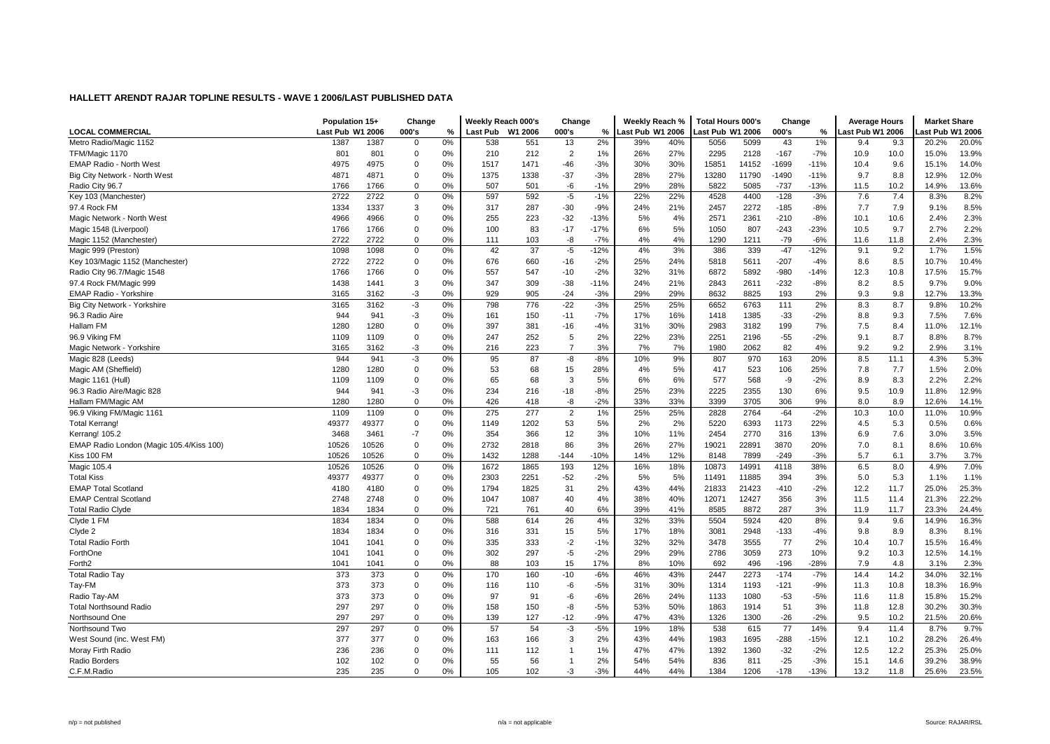|                                          | Population 15+   |       | Change      |    | Weekly Reach 000's |         | Change         |        | Weekly Reach %   |     | <b>Total Hours 000's</b> |       | Change  |        | <b>Average Hours</b> |      | <b>Market Share</b> |       |
|------------------------------------------|------------------|-------|-------------|----|--------------------|---------|----------------|--------|------------------|-----|--------------------------|-------|---------|--------|----------------------|------|---------------------|-------|
| <b>LOCAL COMMERCIAL</b>                  | Last Pub W1 2006 |       | 000's       | %  | Last Pub           | W1 2006 | 000's          | $\%$   | Last Pub W1 2006 |     | ast Pub W1 2006          |       | 000's   | %      | ast Pub W1 2006.     |      | ast Pub W1 2006     |       |
| Metro Radio/Magic 1152                   | 1387             | 1387  | $\Omega$    | 0% | 538                | 551     | 13             | 2%     | 39%              | 40% | 5056                     | 5099  | 43      | 1%     | 9.4                  | 9.3  | 20.2%               | 20.0% |
| TFM/Magic 1170                           | 801              | 801   | $\mathbf 0$ | 0% | 210                | 212     | $\overline{2}$ | 1%     | 26%              | 27% | 2295                     | 2128  | $-167$  | $-7%$  | 10.9                 | 10.0 | 15.0%               | 13.9% |
| <b>EMAP Radio - North West</b>           | 4975             | 4975  | $\mathbf 0$ | 0% | 1517               | 1471    | $-46$          | $-3%$  | 30%              | 30% | 15851                    | 14152 | $-1699$ | $-11%$ | 10.4                 | 9.6  | 15.1%               | 14.0% |
| Big City Network - North West            | 4871             | 4871  | 0           | 0% | 1375               | 1338    | $-37$          | $-3%$  | 28%              | 27% | 13280                    | 11790 | $-1490$ | $-11%$ | 9.7                  | 8.8  | 12.9%               | 12.0% |
| Radio City 96.7                          | 1766             | 1766  | $\Omega$    | 0% | 507                | 501     | -6             | $-1%$  | 29%              | 28% | 5822                     | 5085  | $-737$  | $-13%$ | 11.5                 | 10.2 | 14.9%               | 13.6% |
| Key 103 (Manchester)                     | 2722             | 2722  | $\mathbf 0$ | 0% | 597                | 592     | $-5$           | $-1%$  | 22%              | 22% | 4528                     | 4400  | $-128$  | $-3%$  | 7.6                  | 7.4  | 8.3%                | 8.2%  |
| 97.4 Rock FM                             | 1334             | 1337  | 3           | 0% | 317                | 287     | $-30$          | $-9%$  | 24%              | 21% | 2457                     | 2272  | $-185$  | $-8%$  | 7.7                  | 7.9  | 9.1%                | 8.5%  |
| Magic Network - North West               | 4966             | 4966  | $\Omega$    | 0% | 255                | 223     | $-32$          | $-13%$ | 5%               | 4%  | 2571                     | 2361  | $-210$  | $-8%$  | 10.1                 | 10.6 | 2.4%                | 2.3%  |
| Magic 1548 (Liverpool)                   | 1766             | 1766  | $\mathbf 0$ | 0% | 100                | 83      | $-17$          | $-17%$ | 6%               | 5%  | 1050                     | 807   | $-243$  | $-23%$ | 10.5                 | 9.7  | 2.7%                | 2.2%  |
| Magic 1152 (Manchester)                  | 2722             | 2722  | $\Omega$    | 0% | 111                | 103     | -8             | $-7%$  | 4%               | 4%  | 1290                     | 1211  | $-79$   | $-6%$  | 11.6                 | 11.8 | 2.4%                | 2.3%  |
| Magic 999 (Preston)                      | 1098             | 1098  | 0           | 0% | 42                 | 37      | $-5$           | $-12%$ | 4%               | 3%  | 386                      | 339   | $-47$   | $-12%$ | 9.1                  | 9.2  | 1.7%                | 1.5%  |
| Key 103/Magic 1152 (Manchester)          | 2722             | 2722  | $\mathbf 0$ | 0% | 676                | 660     | $-16$          | $-2%$  | 25%              | 24% | 5818                     | 5611  | $-207$  | $-4%$  | 8.6                  | 8.5  | 10.7%               | 10.4% |
| Radio City 96.7/Magic 1548               | 1766             | 1766  | $\mathbf 0$ | 0% | 557                | 547     | $-10$          | $-2%$  | 32%              | 31% | 6872                     | 5892  | $-980$  | $-14%$ | 12.3                 | 10.8 | 17.5%               | 15.7% |
| 97.4 Rock FM/Magic 999                   | 1438             | 1441  | 3           | 0% | 347                | 309     | $-38$          | $-11%$ | 24%              | 21% | 2843                     | 2611  | $-232$  | $-8%$  | 8.2                  | 8.5  | 9.7%                | 9.0%  |
| <b>EMAP Radio - Yorkshire</b>            | 3165             | 3162  | $-3$        | 0% | 929                | 905     | $-24$          | $-3%$  | 29%              | 29% | 8632                     | 8825  | 193     | 2%     | 9.3                  | 9.8  | 12.7%               | 13.3% |
| Big City Network - Yorkshire             | 3165             | 3162  | $-3$        | 0% | 798                | 776     | $-22$          | $-3%$  | 25%              | 25% | 6652                     | 6763  | 111     | 2%     | 8.3                  | 8.7  | 9.8%                | 10.2% |
| 96.3 Radio Aire                          | 944              | 941   | $-3$        | 0% | 161                | 150     | $-11$          | $-7%$  | 17%              | 16% | 1418                     | 1385  | $-33$   | $-2%$  | 8.8                  | 9.3  | 7.5%                | 7.6%  |
| Hallam FM                                | 1280             | 1280  | 0           | 0% | 397                | 381     | $-16$          | $-4%$  | 31%              | 30% | 2983                     | 3182  | 199     | 7%     | 7.5                  | 8.4  | 11.0%               | 12.1% |
| 96.9 Viking FM                           | 1109             | 1109  | $\mathbf 0$ | 0% | 247                | 252     | 5              | 2%     | 22%              | 23% | 2251                     | 2196  | $-55$   | $-2%$  | 9.1                  | 8.7  | 8.8%                | 8.7%  |
| Magic Network - Yorkshire                | 3165             | 3162  | $-3$        | 0% | 216                | 223     | $\overline{7}$ | 3%     | 7%               | 7%  | 1980                     | 2062  | 82      | 4%     | 9.2                  | 9.2  | 2.9%                | 3.1%  |
| Magic 828 (Leeds)                        | 944              | 941   | $-3$        | 0% | 95                 | 87      | -8             | $-8%$  | 10%              | 9%  | 807                      | 970   | 163     | 20%    | 8.5                  | 11.1 | 4.3%                | 5.3%  |
| Magic AM (Sheffield)                     | 1280             | 1280  | $\mathbf 0$ | 0% | 53                 | 68      | 15             | 28%    | 4%               | 5%  | 417                      | 523   | 106     | 25%    | 7.8                  | 7.7  | 1.5%                | 2.0%  |
| Magic 1161 (Hull)                        | 1109             | 1109  | $\mathbf 0$ | 0% | 65                 | 68      | 3              | 5%     | 6%               | 6%  | 577                      | 568   | -9      | $-2%$  | 8.9                  | 8.3  | 2.2%                | 2.2%  |
| 96.3 Radio Aire/Magic 828                | 944              | 941   | -3          | 0% | 234                | 216     | $-18$          | $-8%$  | 25%              | 23% | 2225                     | 2355  | 130     | 6%     | 9.5                  | 10.9 | 11.8%               | 12.9% |
| Hallam FM/Magic AM                       | 1280             | 1280  | $\Omega$    | 0% | 426                | 418     | -8             | $-2%$  | 33%              | 33% | 3399                     | 3705  | 306     | 9%     | 8.0                  | 8.9  | 12.6%               | 14.1% |
| 96.9 Viking FM/Magic 1161                | 1109             | 1109  | $\mathbf 0$ | 0% | 275                | 277     | $\overline{2}$ | 1%     | 25%              | 25% | 2828                     | 2764  | $-64$   | $-2%$  | 10.3                 | 10.0 | 11.0%               | 10.9% |
| <b>Total Kerrang!</b>                    | 49377            | 49377 | $\mathbf 0$ | 0% | 1149               | 1202    | 53             | 5%     | 2%               | 2%  | 5220                     | 6393  | 1173    | 22%    | 4.5                  | 5.3  | 0.5%                | 0.6%  |
| Kerrang! 105.2                           | 3468             | 3461  | $-7$        | 0% | 354                | 366     | 12             | 3%     | 10%              | 11% | 2454                     | 2770  | 316     | 13%    | 6.9                  | 7.6  | 3.0%                | 3.5%  |
| EMAP Radio London (Magic 105.4/Kiss 100) | 10526            | 10526 | $\Omega$    | 0% | 2732               | 2818    | 86             | 3%     | 26%              | 27% | 19021                    | 22891 | 3870    | 20%    | 7.0                  | 8.1  | 8.6%                | 10.6% |
| Kiss 100 FM                              | 10526            | 10526 | $\mathbf 0$ | 0% | 1432               | 1288    | $-144$         | $-10%$ | 14%              | 12% | 8148                     | 7899  | $-249$  | $-3%$  | 5.7                  | 6.1  | 3.7%                | 3.7%  |
| Magic 105.4                              | 10526            | 10526 | $\mathbf 0$ | 0% | 1672               | 1865    | 193            | 12%    | 16%              | 18% | 10873                    | 14991 | 4118    | 38%    | 6.5                  | 8.0  | 4.9%                | 7.0%  |
| <b>Total Kiss</b>                        | 49377            | 49377 | $\mathbf 0$ | 0% | 2303               | 2251    | $-52$          | $-2%$  | 5%               | 5%  | 11491                    | 11885 | 394     | 3%     | 5.0                  | 5.3  | 1.1%                | 1.1%  |
| <b>EMAP Total Scotland</b>               | 4180             | 4180  | $\mathbf 0$ | 0% | 1794               | 1825    | 31             | 2%     | 43%              | 44% | 21833                    | 21423 | $-410$  | $-2%$  | 12.2                 | 11.7 | 25.0%               | 25.3% |
| <b>EMAP Central Scotland</b>             | 2748             | 2748  | $\mathbf 0$ | 0% | 1047               | 1087    | 40             | 4%     | 38%              | 40% | 12071                    | 12427 | 356     | 3%     | 11.5                 | 11.4 | 21.3%               | 22.2% |
| <b>Total Radio Clyde</b>                 | 1834             | 1834  | $\Omega$    | 0% | 721                | 761     | 40             | 6%     | 39%              | 41% | 8585                     | 8872  | 287     | 3%     | 11.9                 | 11.7 | 23.3%               | 24.4% |
| Clyde 1 FM                               | 1834             | 1834  | $\mathbf 0$ | 0% | 588                | 614     | 26             | 4%     | 32%              | 33% | 5504                     | 5924  | 420     | 8%     | 9.4                  | 9.6  | 14.9%               | 16.3% |
| Clyde 2                                  | 1834             | 1834  | $\mathbf 0$ | 0% | 316                | 331     | 15             | 5%     | 17%              | 18% | 3081                     | 2948  | $-133$  | $-4%$  | 9.8                  | 8.9  | 8.3%                | 8.1%  |
| <b>Total Radio Forth</b>                 | 1041             | 1041  | $\mathbf 0$ | 0% | 335                | 333     | $-2$           | $-1%$  | 32%              | 32% | 3478                     | 3555  | 77      | 2%     | 10.4                 | 10.7 | 15.5%               | 16.4% |
| ForthOne                                 | 1041             | 1041  | $\mathbf 0$ | 0% | 302                | 297     | $-5$           | $-2%$  | 29%              | 29% | 2786                     | 3059  | 273     | 10%    | 9.2                  | 10.3 | 12.5%               | 14.1% |
| Forth <sub>2</sub>                       | 1041             | 1041  | $\Omega$    | 0% | 88                 | 103     | 15             | 17%    | 8%               | 10% | 692                      | 496   | $-196$  | $-28%$ | 7.9                  | 4.8  | 3.1%                | 2.3%  |
| Total Radio Tay                          | 373              | 373   | $\mathbf 0$ | 0% | 170                | 160     | $-10$          | $-6%$  | 46%              | 43% | 2447                     | 2273  | $-174$  | $-7%$  | 14.4                 | 14.2 | 34.0%               | 32.1% |
| Tay-FM                                   | 373              | 373   | $\mathbf 0$ | 0% | 116                | 110     | -6             | $-5%$  | 31%              | 30% | 1314                     | 1193  | $-121$  | $-9%$  | 11.3                 | 10.8 | 18.3%               | 16.9% |
| Radio Tay-AM                             | 373              | 373   | $\Omega$    | 0% | 97                 | 91      | -6             | $-6%$  | 26%              | 24% | 1133                     | 1080  | $-53$   | $-5%$  | 11.6                 | 11.8 | 15.8%               | 15.2% |
| <b>Total Northsound Radio</b>            | 297              | 297   | $\mathbf 0$ | 0% | 158                | 150     | -8             | $-5%$  | 53%              | 50% | 1863                     | 1914  | 51      | 3%     | 11.8                 | 12.8 | 30.2%               | 30.3% |
| Northsound One                           | 297              | 297   | $\Omega$    | 0% | 139                | 127     | $-12$          | $-9%$  | 47%              | 43% | 1326                     | 1300  | $-26$   | $-2%$  | 9.5                  | 10.2 | 21.5%               | 20.6% |
| Northsound Two                           | 297              | 297   | 0           | 0% | 57                 | 54      | -3             | $-5%$  | 19%              | 18% | 538                      | 615   | 77      | 14%    | 9.4                  | 11.4 | 8.7%                | 9.7%  |
| West Sound (inc. West FM)                | 377              | 377   | $\mathbf 0$ | 0% | 163                | 166     | 3              | 2%     | 43%              | 44% | 1983                     | 1695  | $-288$  | $-15%$ | 12.1                 | 10.2 | 28.2%               | 26.4% |
| Moray Firth Radio                        | 236              | 236   | $\mathbf 0$ | 0% | 111                | 112     | $\overline{1}$ | 1%     | 47%              | 47% | 1392                     | 1360  | $-32$   | $-2%$  | 12.5                 | 12.2 | 25.3%               | 25.0% |
| Radio Borders                            | 102              | 102   | $\mathbf 0$ | 0% | 55                 | 56      | $\mathbf{1}$   | 2%     | 54%              | 54% | 836                      | 811   | $-25$   | $-3%$  | 15.1                 | 14.6 | 39.2%               | 38.9% |
| C.F.M.Radio                              | 235              | 235   | $\Omega$    | 0% | 105                | 102     | -3             | $-3%$  | 44%              | 44% | 1384                     | 1206  | $-178$  | $-13%$ | 13.2                 | 11.8 | 25.6%               | 23.5% |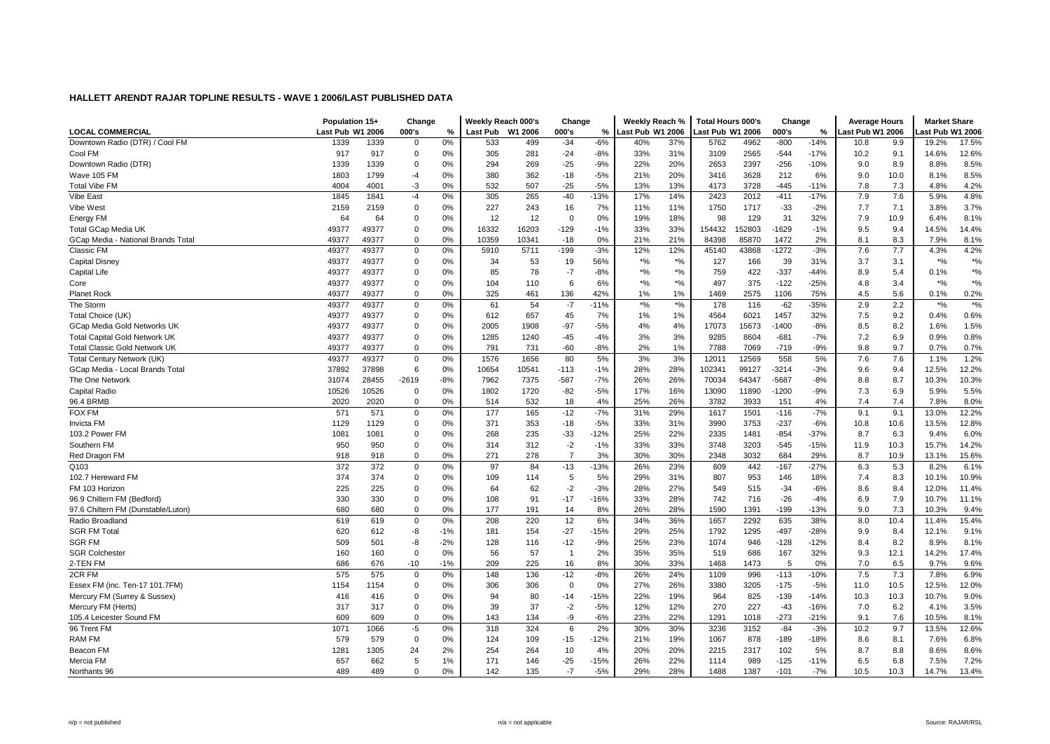|                                      | Population 15+   |       | Change      |       | Weekly Reach 000's |         | Change         |        | Weekly Reach %             |               | <b>Total Hours 000's</b> |        | Change  |        | <b>Average Hours</b> |      | <b>Market Share</b> |                    |
|--------------------------------------|------------------|-------|-------------|-------|--------------------|---------|----------------|--------|----------------------------|---------------|--------------------------|--------|---------|--------|----------------------|------|---------------------|--------------------|
| LOCAL COMMERCIAL                     | Last Pub W1 2006 |       | 000's       | %     | Last Pub           | W1 2006 | 000's          | %      | Last Pub W1 2006           |               | Last Pub W1 2006         |        | 000's   | %      | ast Pub W1 2006.     |      | ast Pub W1 2006     |                    |
| Downtown Radio (DTR) / Cool FM       | 1339             | 1339  | $\mathbf 0$ | 0%    | 533                | 499     | $-34$          | $-6%$  | 40%                        | 37%           | 5762                     | 4962   | $-800$  | $-14%$ | 10.8                 | 9.9  | 19.2%               | 17.5%              |
| Cool FM                              | 917              | 917   | $\mathbf 0$ | 0%    | 305                | 281     | $-24$          | $-8%$  | 33%                        | 31%           | 3109                     | 2565   | $-544$  | $-17%$ | 10.2                 | 9.1  | 14.6%               | 12.6%              |
| Downtown Radio (DTR)                 | 1339             | 1339  | 0           | 0%    | 294                | 269     | $-25$          | $-9%$  | 22%                        | 20%           | 2653                     | 2397   | $-256$  | $-10%$ | 9.0                  | 8.9  | 8.8%                | 8.5%               |
| Wave 105 FM                          | 1803             | 1799  | $-4$        | 0%    | 380                | 362     | $-18$          | $-5%$  | 21%                        | 20%           | 3416                     | 3628   | 212     | 6%     | 9.0                  | 10.0 | 8.1%                | 8.5%               |
| <b>Total Vibe FM</b>                 | 4004             | 4001  | $-3$        | 0%    | 532                | 507     | $-25$          | $-5%$  | 13%                        | 13%           | 4173                     | 3728   | $-445$  | $-11%$ | 7.8                  | 7.3  | 4.8%                | 4.2%               |
| Vibe East                            | 1845             | 1841  | $-4$        | 0%    | 305                | 265     | $-40$          | $-13%$ | 17%                        | 14%           | 2423                     | 2012   | $-411$  | $-17%$ | 7.9                  | 7.6  | 5.9%                | 4.8%               |
| Vibe West                            | 2159             | 2159  | 0           | 0%    | 227                | 243     | 16             | 7%     | 11%                        | 11%           | 1750                     | 1717   | $-33$   | $-2%$  | 7.7                  | 7.1  | 3.8%                | 3.7%               |
| Energy FM                            | 64               | 64    | $\mathbf 0$ | 0%    | 12                 | 12      | $\Omega$       | 0%     | 19%                        | 18%           | 98                       | 129    | 31      | 32%    | 7.9                  | 10.9 | 6.4%                | 8.1%               |
| <b>Total GCap Media UK</b>           | 49377            | 49377 | $\mathbf 0$ | 0%    | 16332              | 16203   | $-129$         | $-1%$  | 33%                        | 33%           | 154432                   | 152803 | $-1629$ | $-1%$  | 9.5                  | 9.4  | 14.5%               | 14.4%              |
| GCap Media - National Brands Total   | 49377            | 49377 | 0           | 0%    | 10359              | 10341   | $-18$          | 0%     | 21%                        | 21%           | 84398                    | 85870  | 1472    | 2%     | 8.1                  | 8.3  | 7.9%                | 8.1%               |
| Classic FM                           | 49377            | 49377 | 0           | 0%    | 5910               | 5711    | $-199$         | $-3%$  | 12%                        | 12%           | 45140                    | 43868  | $-1272$ | $-3%$  | 7.6                  | 7.7  | 4.3%                | 4.2%               |
| <b>Capital Disney</b>                | 49377            | 49377 | 0           | 0%    | 34                 | 53      | 19             | 56%    | $*9/6$                     | $*$ %         | 127                      | 166    | 39      | 31%    | 3.7                  | 3.1  | $*9/6$              | $*$ %              |
| <b>Capital Life</b>                  | 49377            | 49377 | 0           | 0%    | 85                 | 78      | $-7$           | $-8%$  | $\boldsymbol{^{*0}}\!/\!o$ | $*$ %         | 759                      | 422    | $-337$  | $-44%$ | 8.9                  | 5.4  | 0.1%                | $*$ %              |
| Core                                 | 49377            | 49377 | 0           | 0%    | 104                | 110     | 6              | 6%     | $^{\ast}$ %                | $*$ %         | 497                      | 375    | $-122$  | $-25%$ | 4.8                  | 3.4  | $*9/6$              | $^{*0/0}$          |
| <b>Planet Rock</b>                   | 49377            | 49377 | $\mathbf 0$ | 0%    | 325                | 461     | 136            | 42%    | 1%                         | 1%            | 1469                     | 2575   | 1106    | 75%    | 4.5                  | 5.6  | 0.1%                | 0.2%               |
| The Storm                            | 49377            | 49377 | 0           | 0%    | 61                 | 54      | $-7$           | $-11%$ | $*$ %                      | $\frac{1}{2}$ | 178                      | 116    | $-62$   | $-35%$ | 2.9                  | 2.2  | $*9/6$              | $\boldsymbol{*}$ % |
| Total Choice (UK)                    | 49377            | 49377 | 0           | 0%    | 612                | 657     | 45             | 7%     | 1%                         | 1%            | 4564                     | 6021   | 1457    | 32%    | 7.5                  | 9.2  | 0.4%                | 0.6%               |
| <b>GCap Media Gold Networks UK</b>   | 49377            | 49377 | 0           | 0%    | 2005               | 1908    | $-97$          | $-5%$  | 4%                         | 4%            | 17073                    | 15673  | $-1400$ | $-8%$  | 8.5                  | 8.2  | 1.6%                | 1.5%               |
| <b>Total Capital Gold Network UK</b> | 49377            | 49377 | $\mathbf 0$ | 0%    | 1285               | 1240    | $-45$          | $-4%$  | 3%                         | 3%            | 9285                     | 8604   | $-681$  | $-7%$  | 7.2                  | 6.9  | 0.9%                | 0.8%               |
| <b>Total Classic Gold Network UK</b> | 49377            | 49377 | $\mathbf 0$ | 0%    | 791                | 731     | $-60$          | $-8%$  | 2%                         | 1%            | 7788                     | 7069   | $-719$  | $-9%$  | 9.8                  | 9.7  | 0.7%                | 0.7%               |
| Total Century Network (UK)           | 49377            | 49377 | $\mathsf 0$ | 0%    | 1576               | 1656    | 80             | 5%     | 3%                         | 3%            | 12011                    | 12569  | 558     | 5%     | 7.6                  | 7.6  | 1.1%                | 1.2%               |
| GCap Media - Local Brands Total      | 37892            | 37898 | 6           | 0%    | 10654              | 10541   | $-113$         | $-1%$  | 28%                        | 28%           | 102341                   | 99127  | $-3214$ | -3%    | 9.6                  | 9.4  | 12.5%               | 12.2%              |
| The One Network                      | 31074            | 28455 | $-2619$     | $-8%$ | 7962               | 7375    | $-587$         | $-7%$  | 26%                        | 26%           | 70034                    | 64347  | $-5687$ | $-8%$  | 8.8                  | 8.7  | 10.3%               | 10.3%              |
| <b>Capital Radio</b>                 | 10526            | 10526 | 0           | 0%    | 1802               | 1720    | $-82$          | $-5%$  | 17%                        | 16%           | 13090                    | 11890  | $-1200$ | $-9%$  | 7.3                  | 6.9  | 5.9%                | 5.5%               |
| 96.4 BRMB                            | 2020             | 2020  | $\mathbf 0$ | 0%    | 514                | 532     | 18             | 4%     | 25%                        | 26%           | 3782                     | 3933   | 151     | 4%     | 7.4                  | 7.4  | 7.8%                | 8.0%               |
| <b>FOX FM</b>                        | 571              | 571   | 0           | 0%    | 177                | 165     | $-12$          | $-7%$  | 31%                        | 29%           | 1617                     | 1501   | $-116$  | $-7%$  | 9.1                  | 9.1  | 13.0%               | 12.2%              |
| <b>Invicta FM</b>                    | 1129             | 1129  | 0           | 0%    | 371                | 353     | $-18$          | $-5%$  | 33%                        | 31%           | 3990                     | 3753   | $-237$  | $-6%$  | 10.8                 | 10.6 | 13.5%               | 12.8%              |
| 103.2 Power FM                       | 1081             | 1081  | 0           | 0%    | 268                | 235     | $-33$          | $-12%$ | 25%                        | 22%           | 2335                     | 1481   | $-854$  | $-37%$ | 8.7                  | 6.3  | 9.4%                | 6.0%               |
| Southern FM                          | 950              | 950   | 0           | 0%    | 314                | 312     | $-2$           | $-1%$  | 33%                        | 33%           | 3748                     | 3203   | $-545$  | $-15%$ | 11.9                 | 10.3 | 15.7%               | 14.2%              |
| Red Dragon FM                        | 918              | 918   | 0           | 0%    | 271                | 278     | $\overline{7}$ | 3%     | 30%                        | 30%           | 2348                     | 3032   | 684     | 29%    | 8.7                  | 10.9 | 13.1%               | 15.6%              |
| Q <sub>103</sub>                     | 372              | 372   | 0           | 0%    | 97                 | 84      | $-13$          | $-13%$ | 26%                        | 23%           | 609                      | 442    | $-167$  | $-27%$ | 6.3                  | 5.3  | 8.2%                | 6.1%               |
| 102.7 Hereward FM                    | 374              | 374   | 0           | 0%    | 109                | 114     | 5              | 5%     | 29%                        | 31%           | 807                      | 953    | 146     | 18%    | 7.4                  | 8.3  | 10.1%               | 10.9%              |
| FM 103 Horizon                       | 225              | 225   | $\mathbf 0$ | 0%    | 64                 | 62      | $-2$           | $-3%$  | 28%                        | 27%           | 549                      | 515    | $-34$   | $-6%$  | 8.6                  | 8.4  | 12.0%               | 11.4%              |
| 96.9 Chiltern FM (Bedford)           | 330              | 330   | 0           | 0%    | 108                | 91      | $-17$          | $-16%$ | 33%                        | 28%           | 742                      | 716    | $-26$   | $-4%$  | 6.9                  | 7.9  | 10.7%               | 11.1%              |
| 97.6 Chiltern FM (Dunstable/Luton)   | 680              | 680   | 0           | 0%    | 177                | 191     | 14             | 8%     | 26%                        | 28%           | 1590                     | 1391   | $-199$  | $-13%$ | 9.0                  | 7.3  | 10.3%               | 9.4%               |
| Radio Broadland                      | 619              | 619   | $\mathbf 0$ | 0%    | 208                | 220     | 12             | 6%     | 34%                        | 36%           | 1657                     | 2292   | 635     | 38%    | 8.0                  | 10.4 | 11.4%               | 15.4%              |
| <b>SGR FM Total</b>                  | 620              | 612   | -8          | $-1%$ | 181                | 154     | $-27$          | $-15%$ | 29%                        | 25%           | 1792                     | 1295   | $-497$  | -28%   | 9.9                  | 8.4  | 12.1%               | 9.1%               |
| <b>SGR FM</b>                        | 509              | 501   | -8          | $-2%$ | 128                | 116     | $-12$          | $-9%$  | 25%                        | 23%           | 1074                     | 946    | $-128$  | $-12%$ | 8.4                  | 8.2  | 8.9%                | 8.1%               |
| <b>SGR Colchester</b>                | 160              | 160   | $\mathbf 0$ | 0%    | 56                 | 57      | $\overline{1}$ | 2%     | 35%                        | 35%           | 519                      | 686    | 167     | 32%    | 9.3                  | 12.1 | 14.2%               | 17.4%              |
| 2-TEN FM                             | 686              | 676   | -10         | $-1%$ | 209                | 225     | 16             | 8%     | 30%                        | 33%           | 1468                     | 1473   | 5       | 0%     | 7.0                  | 6.5  | 9.7%                | 9.6%               |
| 2CR FM                               | 575              | 575   | $\mathbf 0$ | 0%    | 148                | 136     | $-12$          | $-8%$  | 26%                        | 24%           | 1109                     | 996    | $-113$  | $-10%$ | 7.5                  | 7.3  | 7.8%                | 6.9%               |
| Essex FM (inc. Ten-17 101.7FM)       | 1154             | 1154  | 0           | 0%    | 306                | 306     | $\mathbf 0$    | 0%     | 27%                        | 26%           | 3380                     | 3205   | $-175$  | $-5%$  | 11.0                 | 10.5 | 12.5%               | 12.0%              |
| Mercury FM (Surrey & Sussex)         | 416              | 416   | 0           | 0%    | 94                 | 80      | $-14$          | $-15%$ | 22%                        | 19%           | 964                      | 825    | $-139$  | $-14%$ | 10.3                 | 10.3 | 10.7%               | 9.0%               |
| Mercury FM (Herts)                   | 317              | 317   | $\mathbf 0$ | 0%    | 39                 | 37      | $-2$           | $-5%$  | 12%                        | 12%           | 270                      | 227    | $-43$   | $-16%$ | 7.0                  | 6.2  | 4.1%                | 3.5%               |
| 105.4 Leicester Sound FM             | 609              | 609   | $\mathbf 0$ | 0%    | 143                | 134     | -9             | $-6%$  | 23%                        | 22%           | 1291                     | 1018   | $-273$  | $-21%$ | 9.1                  | 7.6  | 10.5%               | 8.1%               |
| 96 Trent FM                          | 1071             | 1066  | $-5$        | 0%    | 318                | 324     | 6              | 2%     | 30%                        | 30%           | 3236                     | 3152   | $-84$   | $-3%$  | 10.2                 | 9.7  | 13.5%               | 12.6%              |
| <b>RAM FM</b>                        | 579              | 579   | $\mathbf 0$ | 0%    | 124                | 109     | $-15$          | $-12%$ | 21%                        | 19%           | 1067                     | 878    | $-189$  | $-18%$ | 8.6                  | 8.1  | 7.6%                | 6.8%               |
| Beacon FM                            | 1281             | 1305  | 24          | 2%    | 254                | 264     | 10             | 4%     | 20%                        | 20%           | 2215                     | 2317   | 102     | 5%     | 8.7                  | 8.8  | 8.6%                | 8.6%               |
| Mercia FM                            | 657              | 662   | 5           | 1%    | 171                | 146     | $-25$          | $-15%$ | 26%                        | 22%           | 1114                     | 989    | $-125$  | $-11%$ | 6.5                  | 6.8  | 7.5%                | 7.2%               |
| Northants 96                         | 489              | 489   | $\Omega$    | 0%    | 142                | 135     | $-7$           | $-5%$  | 29%                        | 28%           | 1488                     | 1387   | $-101$  | $-7%$  | 10.5                 | 10.3 | 14.7%               | 13.4%              |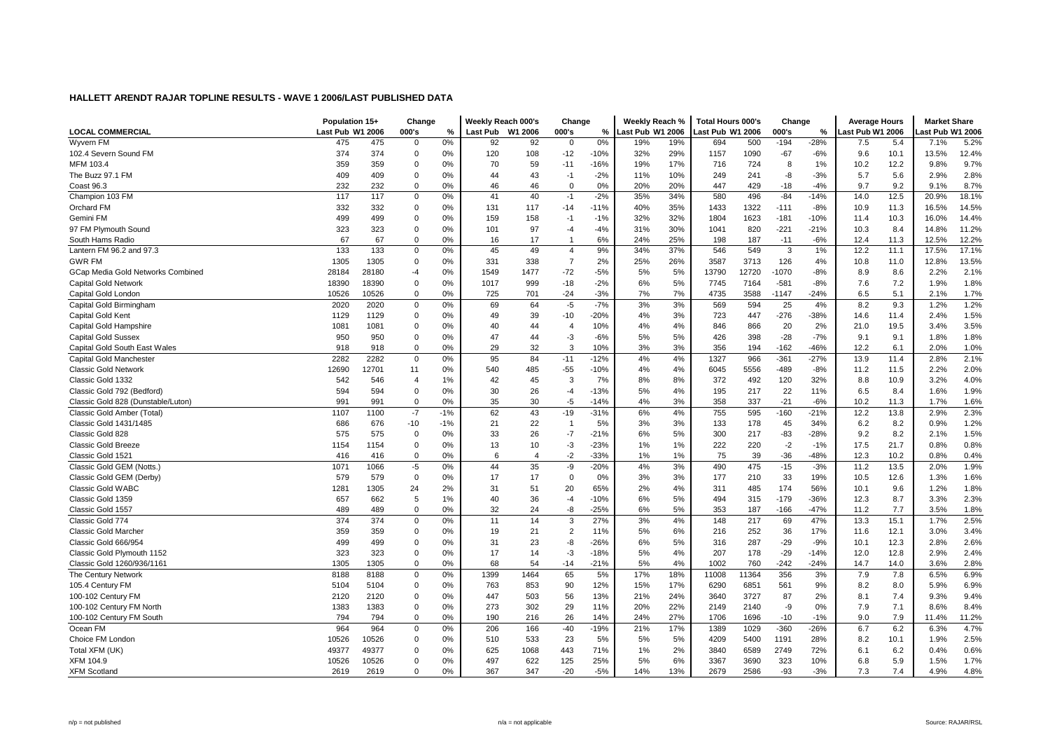|                                    | Population 15+   |       | Change         |       | Weekly Reach 000's |                | Change         |        | Weekly Reach %   |     | <b>Total Hours 000's</b> |       | Change  |        | <b>Average Hours</b> |      | <b>Market Share</b> |       |
|------------------------------------|------------------|-------|----------------|-------|--------------------|----------------|----------------|--------|------------------|-----|--------------------------|-------|---------|--------|----------------------|------|---------------------|-------|
| <b>LOCAL COMMERCIAL</b>            | Last Pub W1 2006 |       | 000's          | %     | Last Pub W1 2006   |                | 000's          | %      | Last Pub W1 2006 |     | Last Pub W1 2006         |       | 000's   | %      | ast Pub W1 2006.     |      | ast Pub W1 2006     |       |
| Wyvern FM                          | 475              | 475   | $\Omega$       | 0%    | 92                 | 92             | $\Omega$       | 0%     | 19%              | 19% | 694                      | 500   | $-194$  | $-28%$ | 7.5                  | 5.4  | 7.1%                | 5.2%  |
| 102.4 Severn Sound FM              | 374              | 374   | $\mathbf 0$    | 0%    | 120                | 108            | $-12$          | $-10%$ | 32%              | 29% | 1157                     | 1090  | $-67$   | -6%    | 9.6                  | 10.1 | 13.5%               | 12.4% |
| MFM 103.4                          | 359              | 359   | $\mathbf 0$    | 0%    | 70                 | 59             | $-11$          | $-16%$ | 19%              | 17% | 716                      | 724   | 8       | 1%     | 10.2                 | 12.2 | 9.8%                | 9.7%  |
| The Buzz 97.1 FM                   | 409              | 409   | $\mathbf 0$    | 0%    | 44                 | 43             | $-1$           | $-2%$  | 11%              | 10% | 249                      | 241   | -8      | $-3%$  | 5.7                  | 5.6  | 2.9%                | 2.8%  |
| Coast 96.3                         | 232              | 232   | $\mathbf 0$    | 0%    | 46                 | 46             | $\mathbf 0$    | 0%     | 20%              | 20% | 447                      | 429   | $-18$   | $-4%$  | 9.7                  | 9.2  | 9.1%                | 8.7%  |
| Champion 103 FM                    | 117              | 117   | $\mathbf 0$    | 0%    | 41                 | 40             | $-1$           | $-2%$  | 35%              | 34% | 580                      | 496   | $-84$   | $-14%$ | 14.0                 | 12.5 | 20.9%               | 18.1% |
| <b>Orchard FM</b>                  | 332              | 332   | $\mathbf 0$    | 0%    | 131                | 117            | $-14$          | $-11%$ | 40%              | 35% | 1433                     | 1322  | $-111$  | $-8%$  | 10.9                 | 11.3 | 16.5%               | 14.5% |
| Gemini FM                          | 499              | 499   | $\Omega$       | 0%    | 159                | 158            | $-1$           | $-1%$  | 32%              | 32% | 1804                     | 1623  | $-181$  | $-10%$ | 11.4                 | 10.3 | 16.0%               | 14.4% |
| 97 FM Plymouth Sound               | 323              | 323   | $\mathbf 0$    | 0%    | 101                | 97             | $-4$           | $-4%$  | 31%              | 30% | 1041                     | 820   | $-221$  | $-21%$ | 10.3                 | 8.4  | 14.8%               | 11.2% |
| South Hams Radio                   | 67               | 67    | $\mathbf 0$    | 0%    | 16                 | 17             | $\overline{1}$ | 6%     | 24%              | 25% | 198                      | 187   | $-11$   | $-6%$  | 12.4                 | 11.3 | 12.5%               | 12.2% |
| Lantern FM 96.2 and 97.3           | 133              | 133   | $\mathbf 0$    | 0%    | 45                 | 49             | $\overline{4}$ | 9%     | 34%              | 37% | 546                      | 549   | 3       | 1%     | 12.2                 | 11.1 | 17.5%               | 17.1% |
| <b>GWR FM</b>                      | 1305             | 1305  | $\mathbf 0$    | 0%    | 331                | 338            | $\overline{7}$ | 2%     | 25%              | 26% | 3587                     | 3713  | 126     | 4%     | 10.8                 | 11.0 | 12.8%               | 13.5% |
| GCap Media Gold Networks Combined  | 28184            | 28180 | -4             | 0%    | 1549               | 1477           | $-72$          | $-5%$  | 5%               | 5%  | 13790                    | 12720 | $-1070$ | $-8%$  | 8.9                  | 8.6  | 2.2%                | 2.1%  |
| <b>Capital Gold Network</b>        | 18390            | 18390 | $\mathbf 0$    | 0%    | 1017               | 999            | $-18$          | $-2%$  | 6%               | 5%  | 7745                     | 7164  | $-581$  | $-8%$  | 7.6                  | 7.2  | 1.9%                | 1.8%  |
| Capital Gold London                | 10526            | 10526 | $\mathbf 0$    | 0%    | 725                | 701            | $-24$          | $-3%$  | 7%               | 7%  | 4735                     | 3588  | $-1147$ | $-24%$ | 6.5                  | 5.1  | 2.1%                | 1.7%  |
| Capital Gold Birmingham            | 2020             | 2020  | $\mathbf 0$    | 0%    | 69                 | 64             | $-5$           | $-7%$  | 3%               | 3%  | 569                      | 594   | 25      | 4%     | 8.2                  | 9.3  | 1.2%                | 1.2%  |
| Capital Gold Kent                  | 1129             | 1129  | $\mathbf 0$    | 0%    | 49                 | 39             | $-10$          | $-20%$ | 4%               | 3%  | 723                      | 447   | $-276$  | -38%   | 14.6                 | 11.4 | 2.4%                | 1.5%  |
| Capital Gold Hampshire             | 1081             | 1081  | $\mathbf 0$    | 0%    | 40                 | 44             | $\overline{4}$ | 10%    | 4%               | 4%  | 846                      | 866   | 20      | 2%     | 21.0                 | 19.5 | 3.4%                | 3.5%  |
| <b>Capital Gold Sussex</b>         | 950              | 950   | $\mathbf 0$    | 0%    | 47                 | 44             | $-3$           | $-6%$  | 5%               | 5%  | 426                      | 398   | $-28$   | $-7%$  | 9.1                  | 9.1  | 1.8%                | 1.8%  |
| Capital Gold South East Wales      | 918              | 918   | $\Omega$       | 0%    | 29                 | 32             | 3              | 10%    | 3%               | 3%  | 356                      | 194   | $-162$  | $-46%$ | 12.2                 | 6.1  | 2.0%                | 1.0%  |
| Capital Gold Manchester            | 2282             | 2282  | $\mathbf 0$    | 0%    | 95                 | 84             | $-11$          | $-12%$ | 4%               | 4%  | 1327                     | 966   | $-361$  | $-27%$ | 13.9                 | 11.4 | 2.8%                | 2.1%  |
| <b>Classic Gold Network</b>        | 12690            | 12701 | 11             | 0%    | 540                | 485            | $-55$          | $-10%$ | 4%               | 4%  | 6045                     | 5556  | $-489$  | $-8%$  | 11.2                 | 11.5 | 2.2%                | 2.0%  |
| Classic Gold 1332                  | 542              | 546   | $\overline{4}$ | 1%    | 42                 | 45             | 3              | 7%     | 8%               | 8%  | 372                      | 492   | 120     | 32%    | 8.8                  | 10.9 | 3.2%                | 4.0%  |
| Classic Gold 792 (Bedford)         | 594              | 594   | $\mathbf 0$    | 0%    | 30                 | 26             | $-4$           | $-13%$ | 5%               | 4%  | 195                      | 217   | 22      | 11%    | 6.5                  | 8.4  | 1.6%                | 1.9%  |
| Classic Gold 828 (Dunstable/Luton) | 991              | 991   | $\Omega$       | 0%    | 35                 | 30             | $-5$           | $-14%$ | 4%               | 3%  | 358                      | 337   | $-21$   | $-6%$  | 10.2                 | 11.3 | 1.7%                | 1.6%  |
| Classic Gold Amber (Total)         | 1107             | 1100  | $-7$           | $-1%$ | 62                 | 43             | $-19$          | $-31%$ | 6%               | 4%  | 755                      | 595   | $-160$  | $-21%$ | 12.2                 | 13.8 | 2.9%                | 2.3%  |
| Classic Gold 1431/1485             | 686              | 676   | $-10$          | $-1%$ | 21                 | 22             | $\overline{1}$ | 5%     | 3%               | 3%  | 133                      | 178   | 45      | 34%    | 6.2                  | 8.2  | 0.9%                | 1.2%  |
| Classic Gold 828                   | 575              | 575   | $\mathbf 0$    | 0%    | 33                 | 26             | $-7$           | $-21%$ | 6%               | 5%  | 300                      | 217   | $-83$   | $-28%$ | 9.2                  | 8.2  | 2.1%                | 1.5%  |
| <b>Classic Gold Breeze</b>         | 1154             | 1154  | $\mathbf 0$    | 0%    | 13                 | 10             | $-3$           | $-23%$ | 1%               | 1%  | 222                      | 220   | $-2$    | $-1%$  | 17.5                 | 21.7 | 0.8%                | 0.8%  |
| Classic Gold 1521                  | 416              | 416   | $\mathbf 0$    | 0%    | 6                  | $\overline{4}$ | $-2$           | $-33%$ | 1%               | 1%  | 75                       | 39    | $-36$   | -48%   | 12.3                 | 10.2 | 0.8%                | 0.4%  |
| Classic Gold GEM (Notts.)          | 1071             | 1066  | $-5$           | 0%    | 44                 | 35             | -9             | $-20%$ | 4%               | 3%  | 490                      | 475   | $-15$   | $-3%$  | 11.2                 | 13.5 | 2.0%                | 1.9%  |
| Classic Gold GEM (Derby)           | 579              | 579   | $\mathbf 0$    | 0%    | 17                 | 17             | $\mathbf 0$    | 0%     | 3%               | 3%  | 177                      | 210   | 33      | 19%    | 10.5                 | 12.6 | 1.3%                | 1.6%  |
| <b>Classic Gold WABC</b>           | 1281             | 1305  | 24             | 2%    | 31                 | 51             | 20             | 65%    | 2%               | 4%  | 311                      | 485   | 174     | 56%    | 10.1                 | 9.6  | 1.2%                | 1.8%  |
| Classic Gold 1359                  | 657              | 662   | 5              | 1%    | 40                 | 36             | $-4$           | $-10%$ | 6%               | 5%  | 494                      | 315   | $-179$  | -36%   | 12.3                 | 8.7  | 3.3%                | 2.3%  |
| Classic Gold 1557                  | 489              | 489   | $\mathbf 0$    | 0%    | 32                 | 24             | -8             | $-25%$ | 6%               | 5%  | 353                      | 187   | $-166$  | $-47%$ | 11.2                 | 7.7  | 3.5%                | 1.8%  |
| Classic Gold 774                   | 374              | 374   | $\Omega$       | 0%    | 11                 | 14             | 3              | 27%    | 3%               | 4%  | 148                      | 217   | 69      | 47%    | 13.3                 | 15.1 | 1.7%                | 2.5%  |
| <b>Classic Gold Marcher</b>        | 359              | 359   | $\Omega$       | 0%    | 19                 | 21             | $\overline{2}$ | 11%    | 5%               | 6%  | 216                      | 252   | 36      | 17%    | 11.6                 | 12.1 | 3.0%                | 3.4%  |
| Classic Gold 666/954               | 499              | 499   | $\Omega$       | 0%    | 31                 | 23             | -8             | $-26%$ | 6%               | 5%  | 316                      | 287   | $-29$   | $-9%$  | 10.1                 | 12.3 | 2.8%                | 2.6%  |
| Classic Gold Plymouth 1152         | 323              | 323   | $\mathbf 0$    | 0%    | 17                 | 14             | $-3$           | $-18%$ | 5%               | 4%  | 207                      | 178   | $-29$   | $-14%$ | 12.0                 | 12.8 | 2.9%                | 2.4%  |
| Classic Gold 1260/936/1161         | 1305             | 1305  | $\mathbf 0$    | 0%    | 68                 | 54             | $-14$          | $-21%$ | 5%               | 4%  | 1002                     | 760   | $-242$  | $-24%$ | 14.7                 | 14.0 | 3.6%                | 2.8%  |
| The Century Network                | 8188             | 8188  | $\mathbf 0$    | 0%    | 1399               | 1464           | 65             | 5%     | 17%              | 18% | 11008                    | 11364 | 356     | 3%     | 7.9                  | 7.8  | 6.5%                | 6.9%  |
| 105.4 Century FM                   | 5104             | 5104  | $\mathbf 0$    | 0%    | 763                | 853            | 90             | 12%    | 15%              | 17% | 6290                     | 6851  | 561     | 9%     | 8.2                  | 8.0  | 5.9%                | 6.9%  |
| 100-102 Century FM                 | 2120             | 2120  | $\mathbf 0$    | 0%    | 447                | 503            | 56             | 13%    | 21%              | 24% | 3640                     | 3727  | 87      | 2%     | 8.1                  | 7.4  | 9.3%                | 9.4%  |
| 100-102 Century FM North           | 1383             | 1383  | $\Omega$       | 0%    | 273                | 302            | 29             | 11%    | 20%              | 22% | 2149                     | 2140  | -9      | 0%     | 7.9                  | 7.1  | 8.6%                | 8.4%  |
| 100-102 Century FM South           | 794              | 794   | $\mathbf 0$    | 0%    | 190                | 216            | 26             | 14%    | 24%              | 27% | 1706                     | 1696  | $-10$   | $-1%$  | 9.0                  | 7.9  | 11.4%               | 11.2% |
| Ocean FM                           | 964              | 964   | $\mathbf 0$    | 0%    | 206                | 166            | $-40$          | -19%   | 21%              | 17% | 1389                     | 1029  | $-360$  | $-26%$ | 6.7                  | 6.2  | 6.3%                | 4.7%  |
| Choice FM London                   | 10526            | 10526 | $\mathbf 0$    | 0%    | 510                | 533            | 23             | 5%     | 5%               | 5%  | 4209                     | 5400  | 1191    | 28%    | 8.2                  | 10.1 | 1.9%                | 2.5%  |
| Total XFM (UK)                     | 49377            | 49377 | $\mathbf 0$    | 0%    | 625                | 1068           | 443            | 71%    | 1%               | 2%  | 3840                     | 6589  | 2749    | 72%    | 6.1                  | 6.2  | 0.4%                | 0.6%  |
| <b>XFM 104.9</b>                   | 10526            | 10526 | $\mathbf 0$    | 0%    | 497                | 622            | 125            | 25%    | 5%               | 6%  | 3367                     | 3690  | 323     | 10%    | 6.8                  | 5.9  | 1.5%                | 1.7%  |
| <b>XFM Scotland</b>                | 2619             | 2619  | $\Omega$       | 0%    | 367                | 347            | $-20$          | $-5%$  | 14%              | 13% | 2679                     | 2586  | $-93$   | $-3%$  | 7.3                  | 7.4  | 4.9%                | 4.8%  |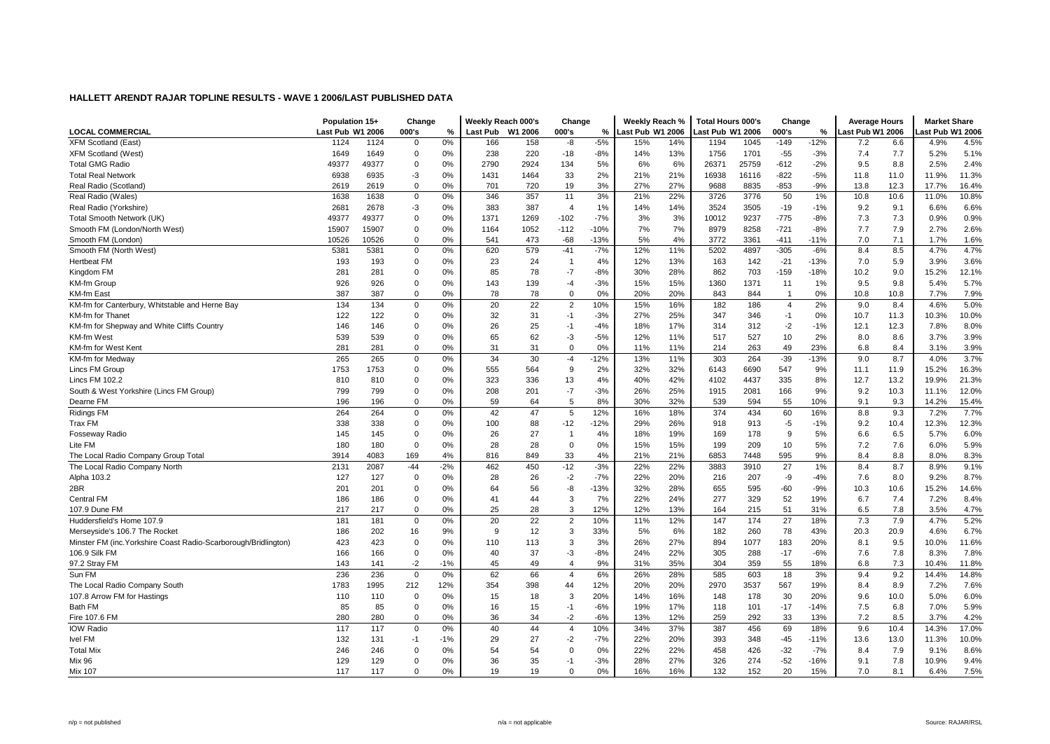| Weekly Reach %<br><b>Total Hours 000's</b><br>Population 15+<br>Change<br>Weekly Reach 000's<br>Change<br>Change<br><b>Average Hours</b>                                                 | <b>Market Share</b> |
|------------------------------------------------------------------------------------------------------------------------------------------------------------------------------------------|---------------------|
| <b>LOCAL COMMERCIAL</b><br>Last Pub W1 2006<br>Last Pub W1 2006<br>000's<br>%<br><b>Last Pub</b><br>W1 2006<br>000's<br>%<br>Last Pub W1 2006<br>000's<br>%<br>Last Pub W1 2006          | ast Pub W1 2006     |
| $-5%$<br>$-149$<br>$-12%$<br><b>XFM Scotland (East)</b><br>1124<br>1124<br>0%<br>166<br>158<br>-8<br>15%<br>14%<br>1194<br>1045<br>6.6<br>$\mathbf 0$<br>7.2                             | 4.5%<br>4.9%        |
| $\mathbf 0$<br>0%<br>238<br>220<br>13%<br>$-55$<br>7.7<br><b>XFM Scotland (West)</b><br>1649<br>1649<br>$-18$<br>$-8%$<br>14%<br>1756<br>1701<br>$-3%$<br>7.4                            | 5.2%<br>5.1%        |
| <b>Total GMG Radio</b><br>49377<br>49377<br>0%<br>2790<br>2924<br>134<br>5%<br>6%<br>6%<br>26371<br>25759<br>$-612$<br>$-2%$<br>9.5<br>8.8<br>$\mathbf 0$                                | 2.5%<br>2.4%        |
| 6938<br>6935<br>$-3$<br>0%<br>1431<br>1464<br>33<br>2%<br>21%<br>21%<br>16938<br>16116<br>$-822$<br>$-5%$<br>11.0<br><b>Total Real Network</b><br>11.8                                   | 11.9%<br>11.3%      |
| $\mathbf 0$<br>0%<br>3%<br>27%<br>27%<br>701<br>720<br>19<br>9688<br>8835<br>$-853$<br>$-9%$<br>13.8<br>12.3<br>Real Radio (Scotland)<br>2619<br>2619                                    | 17.7%<br>16.4%      |
| 22%<br>1638<br>0%<br>346<br>357<br>11<br>3%<br>21%<br>3726<br>3776<br>50<br>1%<br>10.8<br>10.6<br>Real Radio (Wales)<br>1638<br>0                                                        | 10.8%<br>11.0%      |
| 383<br>14%<br>3505<br>Real Radio (Yorkshire)<br>2681<br>2678<br>$-3$<br>0%<br>387<br>$\overline{4}$<br>1%<br>14%<br>3524<br>$-19$<br>$-1%$<br>9.2<br>9.1                                 | 6.6%<br>6.6%        |
| 7.3<br>0%<br>1371<br>1269<br>$-7%$<br>3%<br>9237<br>$-775$<br>Total Smooth Network (UK)<br>49377<br>49377<br>0<br>$-102$<br>3%<br>10012<br>$-8%$<br>7.3                                  | 0.9%<br>0.9%        |
| 8979<br>8258<br>$-721$<br>7.9<br>Smooth FM (London/North West)<br>15907<br>15907<br>$\mathbf 0$<br>0%<br>1164<br>1052<br>$-112$<br>$-10%$<br>7%<br>7%<br>$-8%$<br>7.7                    | 2.6%<br>2.7%        |
| 4%<br>Smooth FM (London)<br>10526<br>10526<br>$\mathbf 0$<br>0%<br>541<br>473<br>$-68$<br>$-13%$<br>5%<br>3772<br>3361<br>$-411$<br>$-11%$<br>7.0<br>7.1                                 | 1.7%<br>1.6%        |
| $-7%$<br>$-305$<br>Smooth FM (North West)<br>0%<br>620<br>579<br>12%<br>11%<br>5202<br>4897<br>8.4<br>8.5<br>5381<br>5381<br>0<br>$-41$<br>$-6%$                                         | 4.7%<br>4.7%        |
| 0%<br>24<br>4%<br>13%<br>$-21$<br>5.9<br><b>Hertbeat FM</b><br>193<br>193<br>0<br>23<br>12%<br>142<br>$-13%$<br>7.0<br>$\overline{1}$<br>163                                             | 3.6%<br>3.9%        |
| 281<br>85<br>78<br>$-7$<br>$-8%$<br>30%<br>28%<br>862<br>703<br>$-159$<br>$-18%$<br>10.2<br>9.0<br>Kingdom FM<br>281<br>0<br>0%                                                          | 15.2%<br>12.1%      |
| 926<br>$\mathbf 0$<br>0%<br>143<br>139<br>$-3%$<br>15%<br>15%<br>1360<br>1371<br>9.5<br>9.8<br><b>KM-fm Group</b><br>926<br>$-4$<br>11<br>1%                                             | 5.4%<br>5.7%        |
| 0%<br>387<br>387<br>0%<br>78<br>78<br>$\mathbf 0$<br>20%<br>20%<br>843<br>844<br>0%<br>10.8<br>10.8<br><b>KM-fm East</b><br>$\mathbf 0$<br>-1                                            | 7.9%<br>7.7%        |
| 22<br>KM-fm for Canterbury, Whitstable and Herne Bay<br>134<br>134<br>$\mathbf 0$<br>0%<br>20<br>$\overline{c}$<br>10%<br>15%<br>16%<br>$\overline{4}$<br>2%<br>9.0<br>8.4<br>182<br>186 | 4.6%<br>5.0%        |
| 122<br>27%<br>25%<br>KM-fm for Thanet<br>122<br>0<br>0%<br>32<br>31<br>$-1$<br>$-3%$<br>347<br>346<br>0%<br>10.7<br>11.3<br>$-1$                                                         | 10.3%<br>10.0%      |
| 25<br>KM-fm for Shepway and White Cliffs Country<br>146<br>146<br>0<br>0%<br>26<br>$-1$<br>$-4%$<br>18%<br>17%<br>314<br>312<br>$-2$<br>$-1%$<br>12.1<br>12.3                            | 8.0%<br>7.8%        |
| 539<br>$\mathbf 0$<br>65<br>62<br>$-5%$<br>10<br>2%<br>8.6<br>KM-fm West<br>539<br>0%<br>-3<br>12%<br>11%<br>517<br>527<br>8.0                                                           | 3.9%<br>3.7%        |
| 281<br>$\mathbf 0$<br>0%<br>31<br>31<br>$\mathbf 0$<br>0%<br>11%<br>263<br>49<br>23%<br>8.4<br>KM-fm for West Kent<br>281<br>11%<br>214<br>6.8                                           | 3.9%<br>3.1%        |
| 265<br>34<br>30<br>$-39$<br>KM-fm for Medway<br>265<br>$\mathbf 0$<br>0%<br>$-4$<br>$-12%$<br>13%<br>11%<br>303<br>264<br>$-13%$<br>9.0<br>8.7                                           | 3.7%<br>4.0%        |
| 9<br>Lincs FM Group<br>1753<br>1753<br>0<br>0%<br>555<br>564<br>2%<br>32%<br>32%<br>6143<br>6690<br>547<br>9%<br>11.9<br>11.1                                                            | 16.3%<br>15.2%      |
| $\mathbf 0$<br>323<br>42%<br>Lincs FM 102.2<br>810<br>810<br>0%<br>336<br>13<br>4%<br>40%<br>4102<br>4437<br>335<br>8%<br>12.7<br>13.2                                                   | 21.3%<br>19.9%      |
| 799<br>799<br>208<br>$-7$<br>$-3%$<br>26%<br>25%<br>2081<br>166<br>9%<br>9.2<br>10.3<br>South & West Yorkshire (Lincs FM Group)<br>0<br>0%<br>201<br>1915                                | 11.1%<br>12.0%      |
| 5<br>0%<br>8%<br>30%<br>32%<br>Dearne FM<br>196<br>196<br>0<br>59<br>64<br>539<br>594<br>55<br>10%<br>9.1<br>9.3                                                                         | 15.4%<br>14.2%      |
| 0%<br>$\overline{5}$<br><b>Ridings FM</b><br>264<br>264<br>42<br>47<br>12%<br>16%<br>18%<br>374<br>434<br>60<br>16%<br>8.8<br>9.3<br>$\mathbf 0$                                         | 7.7%<br>7.2%        |
| Trax FM<br>338<br>338<br>$\mathbf 0$<br>100<br>88<br>$-12$<br>$-12%$<br>29%<br>26%<br>$-5$<br>9.2<br>10.4<br>0%<br>918<br>913<br>$-1%$                                                   | 12.3%<br>12.3%      |
| 145<br>145<br>0<br>0%<br>26<br>27<br>4%<br>18%<br>19%<br>169<br>178<br>9<br>5%<br>6.5<br><b>Fosseway Radio</b><br>$\overline{1}$<br>6.6                                                  | 6.0%<br>5.7%        |
| 28<br>0%<br>7.6<br>Lite FM<br>180<br>180<br>0<br>0%<br>28<br>$\mathbf 0$<br>15%<br>15%<br>199<br>209<br>10<br>5%<br>7.2                                                                  | 5.9%<br>6.0%        |
| 33<br>21%<br>The Local Radio Company Group Total<br>3914<br>4083<br>169<br>4%<br>816<br>849<br>4%<br>21%<br>6853<br>595<br>9%<br>8.4<br>8.8<br>7448                                      | 8.3%<br>8.0%        |
| $-44$<br>$-2%$<br>462<br>450<br>$-12$<br>$-3%$<br>22%<br>22%<br>27<br>8.7<br>The Local Radio Company North<br>2131<br>2087<br>3883<br>3910<br>1%<br>8.4                                  | 9.1%<br>8.9%        |
| $-2$<br>$-7%$<br>22%<br>20%<br>Alpha 103.2<br>127<br>127<br>0<br>0%<br>28<br>26<br>216<br>207<br>-9<br>$-4%$<br>7.6<br>8.0                                                               | 9.2%<br>8.7%        |
| -8<br>2BR<br>$\mathbf 0$<br>0%<br>64<br>56<br>$-13%$<br>32%<br>28%<br>655<br>$-60$<br>$-9%$<br>10.6<br>201<br>201<br>595<br>10.3                                                         | 14.6%<br>15.2%      |
| 3<br>7%<br>22%<br>52<br>7.4<br>186<br>186<br>0<br>0%<br>41<br>44<br>24%<br>277<br>329<br>19%<br>6.7<br><b>Central FM</b>                                                                 | 8.4%<br>7.2%        |
| 28<br>3<br>12%<br>12%<br>107.9 Dune FM<br>217<br>217<br>0<br>0%<br>25<br>13%<br>164<br>215<br>51<br>31%<br>6.5<br>7.8                                                                    | 4.7%<br>3.5%        |
| 22<br>181<br>181<br>20<br>10%<br>11%<br>12%<br>174<br>27<br>18%<br>7.3<br>7.9<br>Huddersfield's Home 107.9<br>$\mathbf 0$<br>0%<br>$\overline{2}$<br>147                                 | 5.2%<br>4.7%        |
| 12<br>3<br>78<br>20.9<br>Merseyside's 106.7 The Rocket<br>186<br>202<br>16<br>9%<br>9<br>33%<br>5%<br>6%<br>182<br>260<br>43%<br>20.3                                                    | 6.7%<br>4.6%        |
| 27%<br>9.5<br>Minster FM (inc. Yorkshire Coast Radio-Scarborough/Bridlington)<br>423<br>423<br>$\mathbf 0$<br>0%<br>110<br>3<br>3%<br>26%<br>1077<br>183<br>20%<br>8.1<br>113<br>894     | 10.0%<br>11.6%      |
| 106.9 Silk FM<br>166<br>166<br>$\mathbf 0$<br>0%<br>40<br>37<br>-3<br>$-8%$<br>24%<br>22%<br>305<br>288<br>$-17$<br>$-6%$<br>7.6<br>7.8                                                  | 8.3%<br>7.8%        |
| $-2$<br>9%<br>7.3<br>141<br>$-1%$<br>45<br>49<br>$\overline{4}$<br>31%<br>35%<br>304<br>359<br>55<br>18%<br>6.8<br>97.2 Stray FM<br>143                                                  | 10.4%<br>11.8%      |
| 9.2<br>236<br>0%<br>62<br>66<br>6%<br>26%<br>28%<br>18<br>Sun FM<br>236<br>$\mathbf 0$<br>$\overline{4}$<br>585<br>603<br>3%<br>9.4                                                      | 14.8%<br>14.4%      |
| The Local Radio Company South<br>1783<br>1995<br>212<br>12%<br>354<br>398<br>12%<br>20%<br>20%<br>2970<br>3537<br>567<br>19%<br>8.9<br>44<br>8.4                                         | 7.6%<br>7.2%        |
| 107.8 Arrow FM for Hastings<br>3<br>20%<br>16%<br>30<br>20%<br>10.0<br>110<br>110<br>0<br>0%<br>15<br>18<br>14%<br>148<br>178<br>9.6                                                     | 6.0%<br>5.0%        |
| <b>Bath FM</b><br>85<br>$\mathbf 0$<br>0%<br>16<br>$-6%$<br>17%<br>$-17$<br>7.5<br>6.8<br>85<br>15<br>$-1$<br>19%<br>118<br>101<br>$-14%$                                                | 7.0%<br>5.9%        |
| $-2$<br>$-6%$<br>12%<br>7.2<br>280<br>280<br>$\mathbf 0$<br>0%<br>36<br>34<br>13%<br>259<br>292<br>33<br>13%<br>8.5<br>Fire 107.6 FM                                                     | 3.7%<br>4.2%        |
| <b>IOW Radio</b><br>0%<br>40<br>44<br>10%<br>34%<br>37%<br>69<br>18%<br>117<br>117<br>0<br>$\overline{4}$<br>387<br>456<br>9.6<br>10.4                                                   | 17.0%<br>14.3%      |
| 27<br>$-2$<br>$-45$<br><b>Ivel FM</b><br>132<br>131<br>$-1$<br>$-1%$<br>29<br>$-7%$<br>22%<br>20%<br>393<br>348<br>$-11%$<br>13.0<br>13.6                                                | 11.3%<br>10.0%      |
| 54<br>54<br>$\Omega$<br>0%<br>22%<br>22%<br>458<br>$-32$<br>7.9<br><b>Total Mix</b><br>246<br>246<br>0<br>0%<br>426<br>$-7%$<br>8.4                                                      | 8.6%<br>9.1%        |
| 129<br>129<br>$\mathbf 0$<br>35<br>$-3%$<br>28%<br>27%<br>326<br>274<br>$-52$<br>$-16%$<br>7.8<br>Mix 96<br>0%<br>36<br>$-1$<br>9.1                                                      | 10.9%<br>9.4%       |
| 117<br>117<br>$\Omega$<br>0%<br>19<br>19<br>$\Omega$<br>0%<br>16%<br>16%<br>132<br>152<br>20<br>15%<br>7.0<br>8.1<br>Mix 107                                                             | 6.4%<br>7.5%        |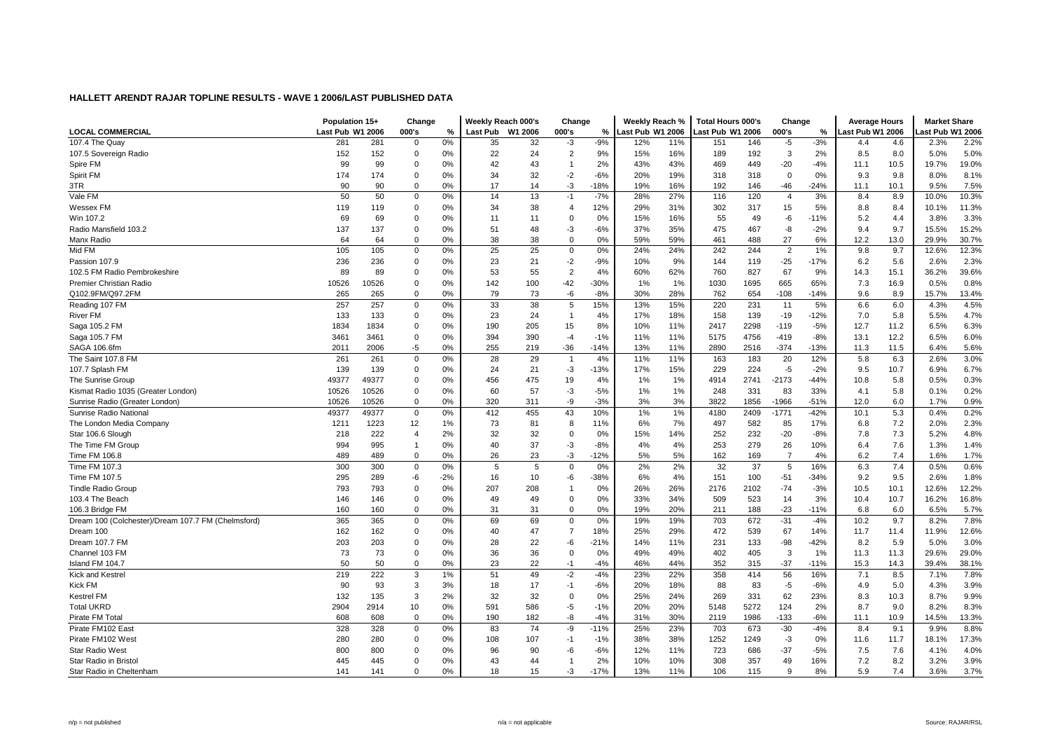|                                                    | Population 15+   |       | Change         |       | Weekly Reach 000's |         | Change         |               | Weekly Reach %   |     | <b>Total Hours 000's</b> |      | Change         |        | <b>Average Hours</b> |      | <b>Market Share</b> |       |
|----------------------------------------------------|------------------|-------|----------------|-------|--------------------|---------|----------------|---------------|------------------|-----|--------------------------|------|----------------|--------|----------------------|------|---------------------|-------|
| <b>LOCAL COMMERCIAL</b>                            | Last Pub W1 2006 |       | 000's          | %     | <b>Last Pub</b>    | W1 2006 | 000's          | $\frac{0}{0}$ | Last Pub W1 2006 |     | Last Pub W1 2006         |      | 000's          | %      | Last Pub W1 2006     |      | ast Pub W1 2006     |       |
| 107.4 The Quay                                     | 281              | 281   | $\Omega$       | 0%    | 35                 | 32      | -3             | $-9%$         | 12%              | 11% | 151                      | 146  | $-5$           | $-3%$  | 4.4                  | 4.6  | 2.3%                | 2.2%  |
| 107.5 Sovereign Radio                              | 152              | 152   | $\mathbf 0$    | 0%    | 22                 | 24      | $\overline{2}$ | 9%            | 15%              | 16% | 189                      | 192  | 3              | 2%     | 8.5                  | 8.0  | 5.0%                | 5.0%  |
| Spire FM                                           | 99               | 99    | $\mathbf 0$    | 0%    | 42                 | 43      | $\overline{1}$ | 2%            | 43%              | 43% | 469                      | 449  | $-20$          | $-4%$  | 11.1                 | 10.5 | 19.7%               | 19.0% |
| Spirit FM                                          | 174              | 174   | 0              | 0%    | 34                 | 32      | $-2$           | $-6%$         | 20%              | 19% | 318                      | 318  | $\mathbf 0$    | 0%     | 9.3                  | 9.8  | 8.0%                | 8.1%  |
| 3TR                                                | 90               | 90    | $\mathbf 0$    | 0%    | 17                 | 14      | -3             | $-18%$        | 19%              | 16% | 192                      | 146  | -46            | $-24%$ | 11.1                 | 10.1 | 9.5%                | 7.5%  |
| Vale FM                                            | 50               | 50    | $\mathbf 0$    | 0%    | 14                 | 13      | $-1$           | $-7%$         | 28%              | 27% | 116                      | 120  | $\overline{4}$ | 3%     | 8.4                  | 8.9  | 10.0%               | 10.3% |
| Wessex FM                                          | 119              | 119   | 0              | 0%    | 34                 | 38      | $\overline{4}$ | 12%           | 29%              | 31% | 302                      | 317  | 15             | 5%     | 8.8                  | 8.4  | 10.1%               | 11.3% |
| Win 107.2                                          | 69               | 69    | $\Omega$       | 0%    | 11                 | 11      | $\Omega$       | 0%            | 15%              | 16% | 55                       | 49   | $-6$           | $-11%$ | 5.2                  | 4.4  | 3.8%                | 3.3%  |
| Radio Mansfield 103.2                              | 137              | 137   | $\mathbf 0$    | 0%    | 51                 | 48      | -3             | $-6%$         | 37%              | 35% | 475                      | 467  | -8             | $-2%$  | 9.4                  | 9.7  | 15.5%               | 15.2% |
| Manx Radio                                         | 64               | 64    | $\Omega$       | 0%    | 38                 | 38      | $\mathbf 0$    | 0%            | 59%              | 59% | 461                      | 488  | 27             | 6%     | 12.2                 | 13.0 | 29.9%               | 30.7% |
| Mid FM                                             | 105              | 105   | $\mathbf 0$    | 0%    | 25                 | 25      | $\mathbf 0$    | 0%            | 24%              | 24% | 242                      | 244  | $\overline{2}$ | 1%     | 9.8                  | 9.7  | 12.6%               | 12.3% |
| Passion 107.9                                      | 236              | 236   | $\mathbf 0$    | 0%    | 23                 | 21      | $-2$           | $-9%$         | 10%              | 9%  | 144                      | 119  | $-25$          | $-17%$ | 6.2                  | 5.6  | 2.6%                | 2.3%  |
| 102.5 FM Radio Pembrokeshire                       | 89               | 89    | $\Omega$       | 0%    | 53                 | 55      | $\overline{2}$ | 4%            | 60%              | 62% | 760                      | 827  | 67             | 9%     | 14.3                 | 15.1 | 36.2%               | 39.6% |
| Premier Christian Radio                            | 10526            | 10526 | $\mathbf 0$    | 0%    | 142                | 100     | $-42$          | $-30%$        | 1%               | 1%  | 1030                     | 1695 | 665            | 65%    | 7.3                  | 16.9 | 0.5%                | 0.8%  |
| Q102.9FM/Q97.2FM                                   | 265              | 265   | $\Omega$       | 0%    | 79                 | 73      | -6             | $-8%$         | 30%              | 28% | 762                      | 654  | $-108$         | $-14%$ | 9.6                  | 8.9  | 15.7%               | 13.4% |
| Reading 107 FM                                     | 257              | 257   | $\mathbf 0$    | 0%    | 33                 | 38      | 5              | 15%           | 13%              | 15% | 220                      | 231  | 11             | 5%     | 6.6                  | 6.0  | 4.3%                | 4.5%  |
| River FM                                           | 133              | 133   | $\mathbf 0$    | 0%    | 23                 | 24      | $\overline{1}$ | 4%            | 17%              | 18% | 158                      | 139  | $-19$          | $-12%$ | 7.0                  | 5.8  | 5.5%                | 4.7%  |
| Saga 105.2 FM                                      | 1834             | 1834  | $\mathbf 0$    | 0%    | 190                | 205     | 15             | 8%            | 10%              | 11% | 2417                     | 2298 | $-119$         | $-5%$  | 12.7                 | 11.2 | 6.5%                | 6.3%  |
| Saga 105.7 FM                                      | 3461             | 3461  | $\mathbf 0$    | 0%    | 394                | 390     | $-4$           | $-1%$         | 11%              | 11% | 5175                     | 4756 | $-419$         | $-8%$  | 13.1                 | 12.2 | 6.5%                | 6.0%  |
| SAGA 106.6fm                                       | 2011             | 2006  | -5             | 0%    | 255                | 219     | $-36$          | $-14%$        | 13%              | 11% | 2890                     | 2516 | $-374$         | $-13%$ | 11.3                 | 11.5 | 6.4%                | 5.6%  |
| The Saint 107.8 FM                                 | 261              | 261   | 0              | 0%    | 28                 | 29      | $\overline{1}$ | 4%            | 11%              | 11% | 163                      | 183  | 20             | 12%    | 5.8                  | 6.3  | 2.6%                | 3.0%  |
| 107.7 Splash FM                                    | 139              | 139   | $\Omega$       | 0%    | 24                 | 21      | -3             | $-13%$        | 17%              | 15% | 229                      | 224  | $-5$           | $-2%$  | 9.5                  | 10.7 | 6.9%                | 6.7%  |
| The Sunrise Group                                  | 49377            | 49377 | $\mathbf 0$    | 0%    | 456                | 475     | 19             | 4%            | 1%               | 1%  | 4914                     | 2741 | $-2173$        | $-44%$ | 10.8                 | 5.8  | 0.5%                | 0.3%  |
| Kismat Radio 1035 (Greater London)                 | 10526            | 10526 | $\mathbf 0$    | 0%    | 60                 | 57      | -3             | $-5%$         | 1%               | 1%  | 248                      | 331  | 83             | 33%    | 4.1                  | 5.8  | 0.1%                | 0.2%  |
| Sunrise Radio (Greater London)                     | 10526            | 10526 | $\Omega$       | 0%    | 320                | 311     | -9             | $-3%$         | 3%               | 3%  | 3822                     | 1856 | -1966          | $-51%$ | 12.0                 | 6.0  | 1.7%                | 0.9%  |
| Sunrise Radio National                             | 49377            | 49377 | $\mathbf 0$    | 0%    | 412                | 455     | 43             | 10%           | 1%               | 1%  | 4180                     | 2409 | $-1771$        | $-42%$ | 10.1                 | 5.3  | 0.4%                | 0.2%  |
| The London Media Company                           | 1211             | 1223  | 12             | 1%    | 73                 | 81      | 8              | 11%           | 6%               | 7%  | 497                      | 582  | 85             | 17%    | 6.8                  | 7.2  | 2.0%                | 2.3%  |
| Star 106.6 Slough                                  | 218              | 222   | $\overline{4}$ | 2%    | 32                 | 32      | $\mathbf 0$    | 0%            | 15%              | 14% | 252                      | 232  | $-20$          | $-8%$  | 7.8                  | 7.3  | 5.2%                | 4.8%  |
| The Time FM Group                                  | 994              | 995   | $\mathbf{1}$   | 0%    | 40                 | 37      | $-3$           | $-8%$         | 4%               | 4%  | 253                      | 279  | 26             | 10%    | 6.4                  | 7.6  | 1.3%                | 1.4%  |
| Time FM 106.8                                      | 489              | 489   | $\mathbf 0$    | 0%    | 26                 | 23      | -3             | $-12%$        | 5%               | 5%  | 162                      | 169  | $\overline{7}$ | 4%     | 6.2                  | 7.4  | 1.6%                | 1.7%  |
| Time FM 107.3                                      | 300              | 300   | $\mathbf 0$    | 0%    | 5                  | 5       | $\mathbf 0$    | 0%            | 2%               | 2%  | 32                       | 37   | 5              | 16%    | 6.3                  | 7.4  | 0.5%                | 0.6%  |
| Time FM 107.5                                      | 295              | 289   | -6             | $-2%$ | 16                 | 10      | -6             | $-38%$        | 6%               | 4%  | 151                      | 100  | $-51$          | $-34%$ | 9.2                  | 9.5  | 2.6%                | 1.8%  |
| <b>Tindle Radio Group</b>                          | 793              | 793   | $\mathbf 0$    | 0%    | 207                | 208     | $\overline{1}$ | 0%            | 26%              | 26% | 2176                     | 2102 | $-74$          | $-3%$  | 10.5                 | 10.1 | 12.6%               | 12.2% |
| 103.4 The Beach                                    | 146              | 146   | $\mathbf 0$    | 0%    | 49                 | 49      | $\mathbf 0$    | 0%            | 33%              | 34% | 509                      | 523  | 14             | 3%     | 10.4                 | 10.7 | 16.2%               | 16.8% |
| 106.3 Bridge FM                                    | 160              | 160   | $\Omega$       | 0%    | 31                 | 31      | $\mathbf 0$    | 0%            | 19%              | 20% | 211                      | 188  | $-23$          | $-11%$ | 6.8                  | 6.0  | 6.5%                | 5.7%  |
| Dream 100 (Colchester)/Dream 107.7 FM (Chelmsford) | 365              | 365   | $\mathbf 0$    | 0%    | 69                 | 69      | $\mathbf 0$    | 0%            | 19%              | 19% | 703                      | 672  | $-31$          | $-4%$  | 10.2                 | 9.7  | 8.2%                | 7.8%  |
| Dream 100                                          | 162              | 162   | $\mathbf 0$    | 0%    | 40                 | 47      | $\overline{7}$ | 18%           | 25%              | 29% | 472                      | 539  | 67             | 14%    | 11.7                 | 11.4 | 11.9%               | 12.6% |
| Dream 107.7 FM                                     | 203              | 203   | $\mathbf 0$    | 0%    | 28                 | 22      | -6             | $-21%$        | 14%              | 11% | 231                      | 133  | $-98$          | $-42%$ | 8.2                  | 5.9  | 5.0%                | 3.0%  |
| Channel 103 FM                                     | 73               | 73    | $\mathbf 0$    | 0%    | 36                 | 36      | $\overline{0}$ | 0%            | 49%              | 49% | 402                      | 405  | 3              | 1%     | 11.3                 | 11.3 | 29.6%               | 29.0% |
| Island FM 104.7                                    | 50               | 50    | $\mathbf 0$    | 0%    | 23                 | 22      | $-1$           | $-4%$         | 46%              | 44% | 352                      | 315  | $-37$          | $-11%$ | 15.3                 | 14.3 | 39.4%               | 38.1% |
| Kick and Kestrel                                   | 219              | 222   | 3              | 1%    | 51                 | 49      | $-2$           | $-4%$         | 23%              | 22% | 358                      | 414  | 56             | 16%    | 7.1                  | 8.5  | 7.1%                | 7.8%  |
| <b>Kick FM</b>                                     | 90               | 93    | 3              | 3%    | 18                 | 17      | -1             | $-6%$         | 20%              | 18% | 88                       | 83   | $-5$           | $-6%$  | 4.9                  | 5.0  | 4.3%                | 3.9%  |
| <b>Kestrel FM</b>                                  | 132              | 135   | 3              | 2%    | 32                 | 32      | $\Omega$       | 0%            | 25%              | 24% | 269                      | 331  | 62             | 23%    | 8.3                  | 10.3 | 8.7%                | 9.9%  |
| <b>Total UKRD</b>                                  | 2904             | 2914  | 10             | 0%    | 591                | 586     | $-5$           | $-1%$         | 20%              | 20% | 5148                     | 5272 | 124            | 2%     | 8.7                  | 9.0  | 8.2%                | 8.3%  |
| Pirate FM Total                                    | 608              | 608   | $\mathbf 0$    | 0%    | 190                | 182     | -8             | $-4%$         | 31%              | 30% | 2119                     | 1986 | $-133$         | $-6%$  | 11.1                 | 10.9 | 14.5%               | 13.3% |
| Pirate FM102 East                                  | 328              | 328   | 0              | 0%    | 83                 | 74      | -9             | $-11%$        | 25%              | 23% | 703                      | 673  | $-30$          | $-4%$  | 8.4                  | 9.1  | 9.9%                | 8.8%  |
| Pirate FM102 West                                  | 280              | 280   | $\mathbf 0$    | 0%    | 108                | 107     | -1             | $-1%$         | 38%              | 38% | 1252                     | 1249 | $-3$           | $0\%$  | 11.6                 | 11.7 | 18.1%               | 17.3% |
| <b>Star Radio West</b>                             | 800              | 800   | $\mathbf 0$    | 0%    | 96                 | 90      | $-6$           | $-6%$         | 12%              | 11% | 723                      | 686  | $-37$          | $-5%$  | 7.5                  | 7.6  | 4.1%                | 4.0%  |
| Star Radio in Bristol                              | 445              | 445   | $\mathbf 0$    | 0%    | 43                 | 44      | -1             | 2%            | 10%              | 10% | 308                      | 357  | 49             | 16%    | 7.2                  | 8.2  | 3.2%                | 3.9%  |
| Star Radio in Cheltenham                           | 141              | 141   | $\Omega$       | 0%    | 18                 | 15      | -3             | $-17%$        | 13%              | 11% | 106                      | 115  | 9              | 8%     | 5.9                  | 7.4  | 3.6%                | 3.7%  |
|                                                    |                  |       |                |       |                    |         |                |               |                  |     |                          |      |                |        |                      |      |                     |       |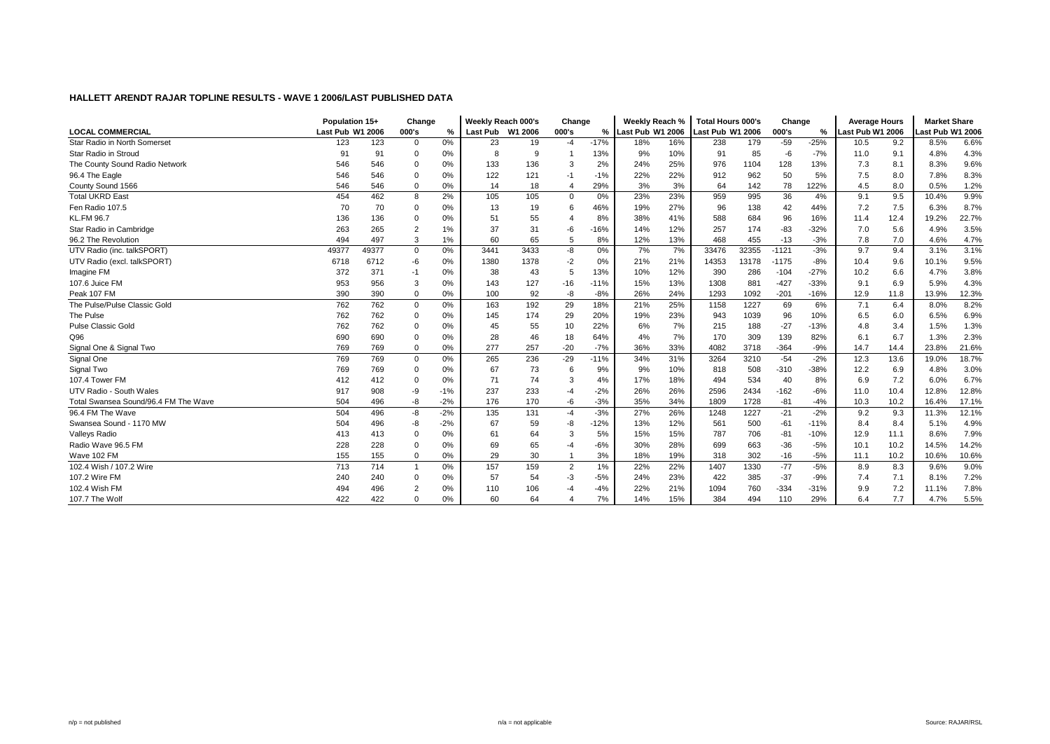|                                      | Population 15+   |       | Change         |       | Weekly Reach 000's |      | Change         |        | Weekly Reach %   |     | Total Hours 000's |       | Change  |        | <b>Average Hours</b> |      | <b>Market Share</b> |       |
|--------------------------------------|------------------|-------|----------------|-------|--------------------|------|----------------|--------|------------------|-----|-------------------|-------|---------|--------|----------------------|------|---------------------|-------|
| <b>LOCAL COMMERCIAL</b>              | Last Pub W1 2006 |       | 000's          | %     | Last Pub W1 2006   |      | 000's          | %      | Last Pub W1 2006 |     | Last Pub W1 2006  |       | 000's   | $\%$   | Last Pub W1 2006     |      | Last Pub W1 2006    |       |
| Star Radio in North Somerset         | 123              | 123   | 0              | 0%    | 23                 | 19   | -4             | $-17%$ | 18%              | 16% | 238               | 179   | $-59$   | $-25%$ | 10.5                 | 9.2  | 8.5%                | 6.6%  |
| Star Radio in Stroud                 | 91               | 91    | 0              | 0%    | 8                  | 9    |                | 13%    | 9%               | 10% | 91                | 85    | -6      | $-7%$  | 11.0                 | 9.1  | 4.8%                | 4.3%  |
| The County Sound Radio Network       | 546              | 546   | 0              | 0%    | 133                | 136  |                | 2%     | 24%              | 25% | 976               | 1104  | 128     | 13%    | 7.3                  | 8.1  | 8.3%                | 9.6%  |
| 96.4 The Eagle                       | 546              | 546   | 0              | 0%    | 122                | 121  | $-1$           | $-1%$  | 22%              | 22% | 912               | 962   | 50      | 5%     | 7.5                  | 8.0  | 7.8%                | 8.3%  |
| County Sound 1566                    | 546              | 546   | $\Omega$       | 0%    | 14                 | 18   | $\overline{4}$ | 29%    | 3%               | 3%  | 64                | 142   | 78      | 122%   | 4.5                  | 8.0  | 0.5%                | 1.2%  |
| <b>Total UKRD East</b>               | 454              | 462   | 8              | 2%    | 105                | 105  | $\Omega$       | 0%     | 23%              | 23% | 959               | 995   | 36      | 4%     | 9.1                  | 9.5  | 10.4%               | 9.9%  |
| Fen Radio 107.5                      | 70               | 70    | 0              | 0%    | 13                 | 19   | 6              | 46%    | 19%              | 27% | 96                | 138   | 42      | 44%    | 7.2                  | 7.5  | 6.3%                | 8.7%  |
| <b>KL.FM 96.7</b>                    | 136              | 136   | $\mathbf 0$    | 0%    | 51                 | 55   |                | 8%     | 38%              | 41% | 588               | 684   | 96      | 16%    | 11.4                 | 12.4 | 19.2%               | 22.7% |
| Star Radio in Cambridge              | 263              | 265   | $\overline{2}$ | 1%    | 37                 | 31   | -6             | $-16%$ | 14%              | 12% | 257               | 174   | $-83$   | $-32%$ | 7.0                  | 5.6  | 4.9%                | 3.5%  |
| 96.2 The Revolution                  | 494              | 497   | 3              | 1%    | 60                 | 65   | 5              | 8%     | 12%              | 13% | 468               | 455   | $-13$   | $-3%$  | 7.8                  | 7.0  | 4.6%                | 4.7%  |
| UTV Radio (inc. talkSPORT)           | 49377            | 49377 | 0              | 0%    | 3441               | 3433 | -8             | 0%     | 7%               | 7%  | 33476             | 32355 | $-1121$ | $-3%$  | 9.7                  | 9.4  | 3.1%                | 3.1%  |
| UTV Radio (excl. talkSPORT)          | 6718             | 6712  | -6             | 0%    | 1380               | 1378 | $-2$           | 0%     | 21%              | 21% | 14353             | 13178 | $-1175$ | $-8%$  | 10.4                 | 9.6  | 10.1%               | 9.5%  |
| Imagine FM                           | 372              | 371   | $-1$           | 0%    | 38                 | 43   | 5              | 13%    | 10%              | 12% | 390               | 286   | $-104$  | $-27%$ | 10.2                 | 6.6  | 4.7%                | 3.8%  |
| 107.6 Juice FM                       | 953              | 956   | 3              | 0%    | 143                | 127  | $-16$          | $-11%$ | 15%              | 13% | 1308              | 881   | $-427$  | $-33%$ | 9.1                  | 6.9  | 5.9%                | 4.3%  |
| Peak 107 FM                          | 390              | 390   | $\mathbf 0$    | 0%    | 100                | 92   | -8             | $-8%$  | 26%              | 24% | 1293              | 1092  | $-201$  | $-16%$ | 12.9                 | 11.8 | 13.9%               | 12.3% |
| The Pulse/Pulse Classic Gold         | 762              | 762   | 0              | 0%    | 163                | 192  | 29             | 18%    | 21%              | 25% | 1158              | 1227  | 69      | 6%     | 7.1                  | 6.4  | 8.0%                | 8.2%  |
| The Pulse                            | 762              | 762   | 0              | 0%    | 145                | 174  | 29             | 20%    | 19%              | 23% | 943               | 1039  | 96      | 10%    | 6.5                  | 6.0  | 6.5%                | 6.9%  |
| <b>Pulse Classic Gold</b>            | 762              | 762   | 0              | 0%    | 45                 | 55   | 10             | 22%    | 6%               | 7%  | 215               | 188   | $-27$   | $-13%$ | 4.8                  | 3.4  | 1.5%                | 1.3%  |
| Q96                                  | 690              | 690   | $\Omega$       | 0%    | 28                 | 46   | 18             | 64%    | 4%               | 7%  | 170               | 309   | 139     | 82%    | 6.1                  | 6.7  | 1.3%                | 2.3%  |
| Signal One & Signal Two              | 769              | 769   | $\mathbf 0$    | 0%    | 277                | 257  | $-20$          | $-7%$  | 36%              | 33% | 4082              | 3718  | $-364$  | $-9%$  | 14.7                 | 14.4 | 23.8%               | 21.6% |
| Signal One                           | 769              | 769   | $\mathsf 0$    | 0%    | 265                | 236  | $-29$          | $-11%$ | 34%              | 31% | 3264              | 3210  | $-54$   | $-2%$  | 12.3                 | 13.6 | 19.0%               | 18.7% |
| Signal Two                           | 769              | 769   | 0              | 0%    | 67                 | 73   | 6              | 9%     | 9%               | 10% | 818               | 508   | $-310$  | $-38%$ | 12.2                 | 6.9  | 4.8%                | 3.0%  |
| 107.4 Tower FM                       | 412              | 412   | 0              | 0%    | 71                 | 74   | 3              | 4%     | 17%              | 18% | 494               | 534   | 40      | 8%     | 6.9                  | 7.2  | 6.0%                | 6.7%  |
| UTV Radio - South Wales              | 917              | 908   | $-9$           | $-1%$ | 237                | 233  | -4             | $-2%$  | 26%              | 26% | 2596              | 2434  | $-162$  | $-6%$  | 11.0                 | 10.4 | 12.8%               | 12.8% |
| Total Swansea Sound/96.4 FM The Wave | 504              | 496   | -8             | $-2%$ | 176                | 170  | -6             | $-3%$  | 35%              | 34% | 1809              | 1728  | $-81$   | $-4%$  | 10.3                 | 10.2 | 16.4%               | 17.1% |
| 96.4 FM The Wave                     | 504              | 496   | -8             | $-2%$ | 135                | 131  | $-4$           | $-3%$  | 27%              | 26% | 1248              | 1227  | $-21$   | $-2%$  | 9.2                  | 9.3  | 11.3%               | 12.1% |
| Swansea Sound - 1170 MW              | 504              | 496   | -8             | $-2%$ | 67                 | 59   | -8             | $-12%$ | 13%              | 12% | 561               | 500   | $-61$   | $-11%$ | 8.4                  | 8.4  | 5.1%                | 4.9%  |
| Valleys Radio                        | 413              | 413   | $\mathbf 0$    | 0%    | 61                 | 64   | 3              | 5%     | 15%              | 15% | 787               | 706   | $-81$   | $-10%$ | 12.9                 | 11.1 | 8.6%                | 7.9%  |
| Radio Wave 96.5 FM                   | 228              | 228   | $\mathbf 0$    | 0%    | 69                 | 65   | -4             | $-6%$  | 30%              | 28% | 699               | 663   | $-36$   | $-5%$  | 10.1                 | 10.2 | 14.5%               | 14.2% |
| Wave 102 FM                          | 155              | 155   | $\mathbf 0$    | 0%    | 29                 | 30   |                | 3%     | 18%              | 19% | 318               | 302   | $-16$   | $-5%$  | 11.1                 | 10.2 | 10.6%               | 10.6% |
| 102.4 Wish / 107.2 Wire              | 713              | 714   | $\overline{1}$ | 0%    | 157                | 159  | $\overline{2}$ | 1%     | 22%              | 22% | 1407              | 1330  | $-77$   | $-5%$  | 8.9                  | 8.3  | 9.6%                | 9.0%  |
| 107.2 Wire FM                        | 240              | 240   | $\mathbf 0$    | $0\%$ | 57                 | 54   | -3             | $-5%$  | 24%              | 23% | 422               | 385   | $-37$   | $-9%$  | 7.4                  | 7.1  | 8.1%                | 7.2%  |
| 102.4 Wish FM                        | 494              | 496   | $\overline{2}$ | 0%    | 110                | 106  |                | $-4%$  | 22%              | 21% | 1094              | 760   | $-334$  | $-31%$ | 9.9                  | 7.2  | 11.1%               | 7.8%  |
| 107.7 The Wolf                       | 422              | 422   | $\Omega$       | 0%    | 60                 | 64   |                | 7%     | 14%              | 15% | 384               | 494   | 110     | 29%    | 6.4                  | 7.7  | 4.7%                | 5.5%  |